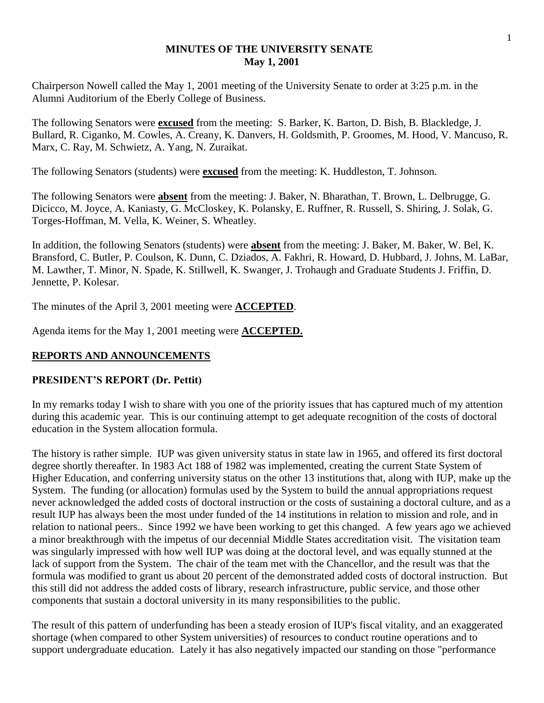#### **MINUTES OF THE UNIVERSITY SENATE May 1, 2001**

Chairperson Nowell called the May 1, 2001 meeting of the University Senate to order at 3:25 p.m. in the Alumni Auditorium of the Eberly College of Business.

The following Senators were **excused** from the meeting: S. Barker, K. Barton, D. Bish, B. Blackledge, J. Bullard, R. Ciganko, M. Cowles, A. Creany, K. Danvers, H. Goldsmith, P. Groomes, M. Hood, V. Mancuso, R. Marx, C. Ray, M. Schwietz, A. Yang, N. Zuraikat.

The following Senators (students) were **excused** from the meeting: K. Huddleston, T. Johnson.

The following Senators were **absent** from the meeting: J. Baker, N. Bharathan, T. Brown, L. Delbrugge, G. Dicicco, M. Joyce, A. Kaniasty, G. McCloskey, K. Polansky, E. Ruffner, R. Russell, S. Shiring, J. Solak, G. Torges-Hoffman, M. Vella, K. Weiner, S. Wheatley.

In addition, the following Senators (students) were **absent** from the meeting: J. Baker, M. Baker, W. Bel, K. Bransford, C. Butler, P. Coulson, K. Dunn, C. Dziados, A. Fakhri, R. Howard, D. Hubbard, J. Johns, M. LaBar, M. Lawther, T. Minor, N. Spade, K. Stillwell, K. Swanger, J. Trohaugh and Graduate Students J. Friffin, D. Jennette, P. Kolesar.

The minutes of the April 3, 2001 meeting were **ACCEPTED**.

Agenda items for the May 1, 2001 meeting were **ACCEPTED.**

## **REPORTS AND ANNOUNCEMENTS**

## **PRESIDENT'S REPORT (Dr. Pettit)**

In my remarks today I wish to share with you one of the priority issues that has captured much of my attention during this academic year. This is our continuing attempt to get adequate recognition of the costs of doctoral education in the System allocation formula.

The history is rather simple. IUP was given university status in state law in 1965, and offered its first doctoral degree shortly thereafter. In 1983 Act 188 of 1982 was implemented, creating the current State System of Higher Education, and conferring university status on the other 13 institutions that, along with IUP, make up the System. The funding (or allocation) formulas used by the System to build the annual appropriations request never acknowledged the added costs of doctoral instruction or the costs of sustaining a doctoral culture, and as a result IUP has always been the most under funded of the 14 institutions in relation to mission and role, and in relation to national peers.. Since 1992 we have been working to get this changed. A few years ago we achieved a minor breakthrough with the impetus of our decennial Middle States accreditation visit. The visitation team was singularly impressed with how well IUP was doing at the doctoral level, and was equally stunned at the lack of support from the System. The chair of the team met with the Chancellor, and the result was that the formula was modified to grant us about 20 percent of the demonstrated added costs of doctoral instruction. But this still did not address the added costs of library, research infrastructure, public service, and those other components that sustain a doctoral university in its many responsibilities to the public.

The result of this pattern of underfunding has been a steady erosion of IUP's fiscal vitality, and an exaggerated shortage (when compared to other System universities) of resources to conduct routine operations and to support undergraduate education. Lately it has also negatively impacted our standing on those "performance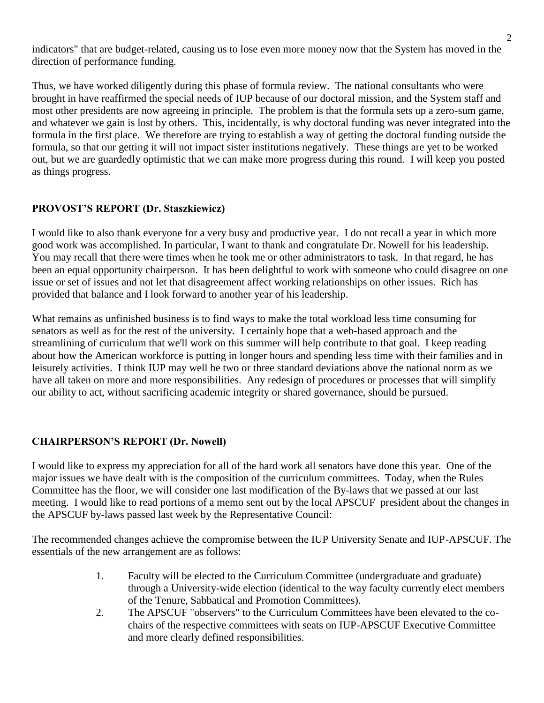indicators" that are budget-related, causing us to lose even more money now that the System has moved in the direction of performance funding.

Thus, we have worked diligently during this phase of formula review. The national consultants who were brought in have reaffirmed the special needs of IUP because of our doctoral mission, and the System staff and most other presidents are now agreeing in principle. The problem is that the formula sets up a zero-sum game, and whatever we gain is lost by others. This, incidentally, is why doctoral funding was never integrated into the formula in the first place. We therefore are trying to establish a way of getting the doctoral funding outside the formula, so that our getting it will not impact sister institutions negatively. These things are yet to be worked out, but we are guardedly optimistic that we can make more progress during this round. I will keep you posted as things progress.

## **PROVOST'S REPORT (Dr. Staszkiewicz)**

I would like to also thank everyone for a very busy and productive year. I do not recall a year in which more good work was accomplished. In particular, I want to thank and congratulate Dr. Nowell for his leadership. You may recall that there were times when he took me or other administrators to task. In that regard, he has been an equal opportunity chairperson. It has been delightful to work with someone who could disagree on one issue or set of issues and not let that disagreement affect working relationships on other issues. Rich has provided that balance and I look forward to another year of his leadership.

What remains as unfinished business is to find ways to make the total workload less time consuming for senators as well as for the rest of the university. I certainly hope that a web-based approach and the streamlining of curriculum that we'll work on this summer will help contribute to that goal. I keep reading about how the American workforce is putting in longer hours and spending less time with their families and in leisurely activities. I think IUP may well be two or three standard deviations above the national norm as we have all taken on more and more responsibilities. Any redesign of procedures or processes that will simplify our ability to act, without sacrificing academic integrity or shared governance, should be pursued.

## **CHAIRPERSON'S REPORT (Dr. Nowell)**

I would like to express my appreciation for all of the hard work all senators have done this year. One of the major issues we have dealt with is the composition of the curriculum committees. Today, when the Rules Committee has the floor, we will consider one last modification of the By-laws that we passed at our last meeting. I would like to read portions of a memo sent out by the local APSCUF president about the changes in the APSCUF by-laws passed last week by the Representative Council:

The recommended changes achieve the compromise between the IUP University Senate and IUP-APSCUF. The essentials of the new arrangement are as follows:

- 1. Faculty will be elected to the Curriculum Committee (undergraduate and graduate) through a University-wide election (identical to the way faculty currently elect members of the Tenure, Sabbatical and Promotion Committees).
- 2. The APSCUF "observers" to the Curriculum Committees have been elevated to the cochairs of the respective committees with seats on IUP-APSCUF Executive Committee and more clearly defined responsibilities.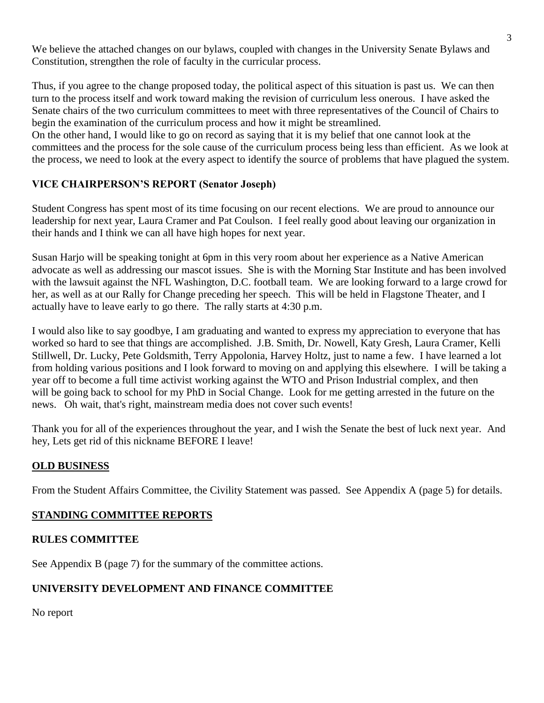We believe the attached changes on our bylaws, coupled with changes in the University Senate Bylaws and Constitution, strengthen the role of faculty in the curricular process.

Thus, if you agree to the change proposed today, the political aspect of this situation is past us. We can then turn to the process itself and work toward making the revision of curriculum less onerous. I have asked the Senate chairs of the two curriculum committees to meet with three representatives of the Council of Chairs to begin the examination of the curriculum process and how it might be streamlined.

On the other hand, I would like to go on record as saying that it is my belief that one cannot look at the committees and the process for the sole cause of the curriculum process being less than efficient. As we look at the process, we need to look at the every aspect to identify the source of problems that have plagued the system.

# **VICE CHAIRPERSON'S REPORT (Senator Joseph)**

Student Congress has spent most of its time focusing on our recent elections. We are proud to announce our leadership for next year, Laura Cramer and Pat Coulson. I feel really good about leaving our organization in their hands and I think we can all have high hopes for next year.

Susan Harjo will be speaking tonight at 6pm in this very room about her experience as a Native American advocate as well as addressing our mascot issues. She is with the Morning Star Institute and has been involved with the lawsuit against the NFL Washington, D.C. football team. We are looking forward to a large crowd for her, as well as at our Rally for Change preceding her speech. This will be held in Flagstone Theater, and I actually have to leave early to go there. The rally starts at 4:30 p.m.

I would also like to say goodbye, I am graduating and wanted to express my appreciation to everyone that has worked so hard to see that things are accomplished. J.B. Smith, Dr. Nowell, Katy Gresh, Laura Cramer, Kelli Stillwell, Dr. Lucky, Pete Goldsmith, Terry Appolonia, Harvey Holtz, just to name a few. I have learned a lot from holding various positions and I look forward to moving on and applying this elsewhere. I will be taking a year off to become a full time activist working against the WTO and Prison Industrial complex, and then will be going back to school for my PhD in Social Change. Look for me getting arrested in the future on the news. Oh wait, that's right, mainstream media does not cover such events!

Thank you for all of the experiences throughout the year, and I wish the Senate the best of luck next year. And hey, Lets get rid of this nickname BEFORE I leave!

## **OLD BUSINESS**

From the Student Affairs Committee, the Civility Statement was passed. See Appendix A (page 5) for details.

## **STANDING COMMITTEE REPORTS**

## **RULES COMMITTEE**

See Appendix B (page 7) for the summary of the committee actions.

# **UNIVERSITY DEVELOPMENT AND FINANCE COMMITTEE**

No report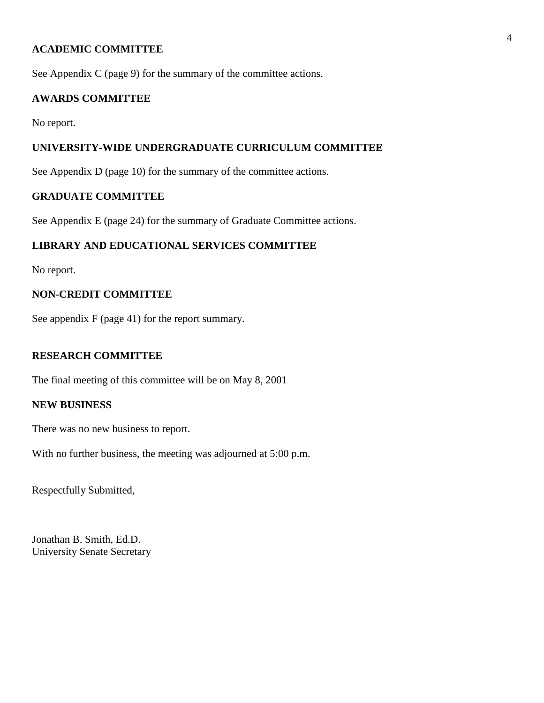#### **ACADEMIC COMMITTEE**

See Appendix C (page 9) for the summary of the committee actions.

#### **AWARDS COMMITTEE**

No report.

## **UNIVERSITY-WIDE UNDERGRADUATE CURRICULUM COMMITTEE**

See Appendix D (page 10) for the summary of the committee actions.

## **GRADUATE COMMITTEE**

See Appendix E (page 24) for the summary of Graduate Committee actions.

### **LIBRARY AND EDUCATIONAL SERVICES COMMITTEE**

No report.

## **NON-CREDIT COMMITTEE**

See appendix F (page 41) for the report summary.

#### **RESEARCH COMMITTEE**

The final meeting of this committee will be on May 8, 2001

## **NEW BUSINESS**

There was no new business to report.

With no further business, the meeting was adjourned at 5:00 p.m.

Respectfully Submitted,

Jonathan B. Smith, Ed.D. University Senate Secretary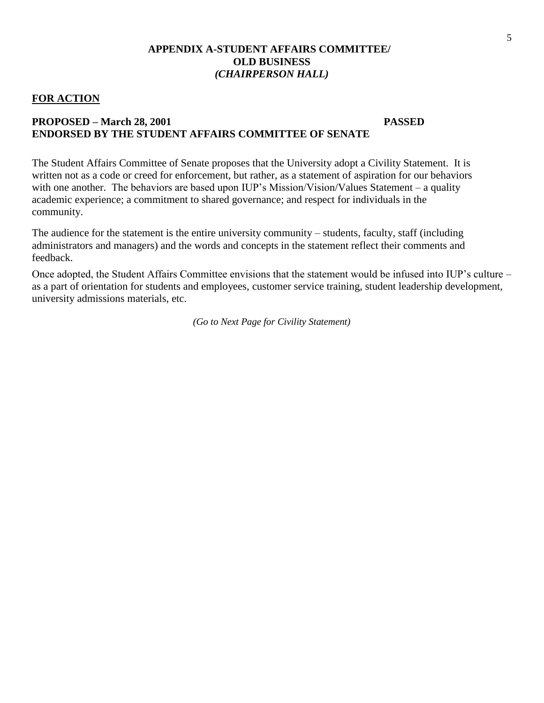#### **APPENDIX A-STUDENT AFFAIRS COMMITTEE/ OLD BUSINESS** *(CHAIRPERSON HALL)*

#### **FOR ACTION**

#### **PROPOSED – March 28, 2001 PASSED ENDORSED BY THE STUDENT AFFAIRS COMMITTEE OF SENATE**

The Student Affairs Committee of Senate proposes that the University adopt a Civility Statement. It is written not as a code or creed for enforcement, but rather, as a statement of aspiration for our behaviors with one another. The behaviors are based upon IUP's Mission/Vision/Values Statement – a quality academic experience; a commitment to shared governance; and respect for individuals in the community.

The audience for the statement is the entire university community – students, faculty, staff (including administrators and managers) and the words and concepts in the statement reflect their comments and feedback.

Once adopted, the Student Affairs Committee envisions that the statement would be infused into IUP's culture – as a part of orientation for students and employees, customer service training, student leadership development, university admissions materials, etc.

*(Go to Next Page for Civility Statement)*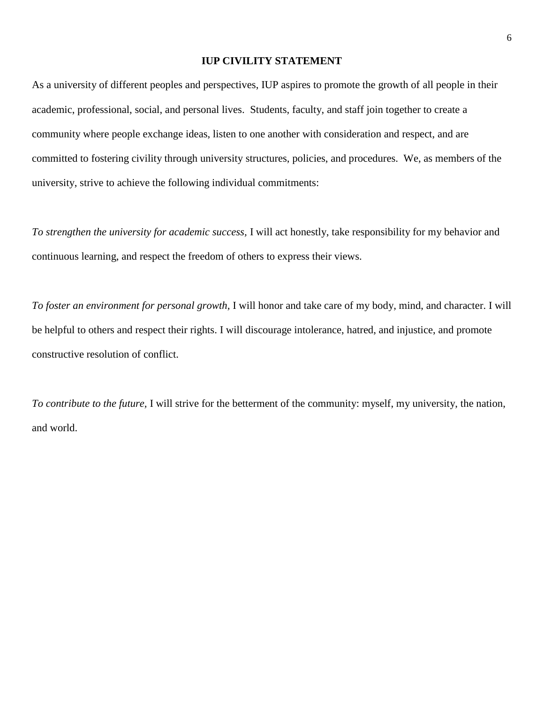#### **IUP CIVILITY STATEMENT**

As a university of different peoples and perspectives, IUP aspires to promote the growth of all people in their academic, professional, social, and personal lives. Students, faculty, and staff join together to create a community where people exchange ideas, listen to one another with consideration and respect, and are committed to fostering civility through university structures, policies, and procedures. We, as members of the university, strive to achieve the following individual commitments:

*To strengthen the university for academic success,* I will act honestly, take responsibility for my behavior and continuous learning, and respect the freedom of others to express their views.

*To foster an environment for personal growth,* I will honor and take care of my body, mind, and character. I will be helpful to others and respect their rights. I will discourage intolerance, hatred, and injustice, and promote constructive resolution of conflict.

*To contribute to the future,* I will strive for the betterment of the community: myself, my university, the nation, and world.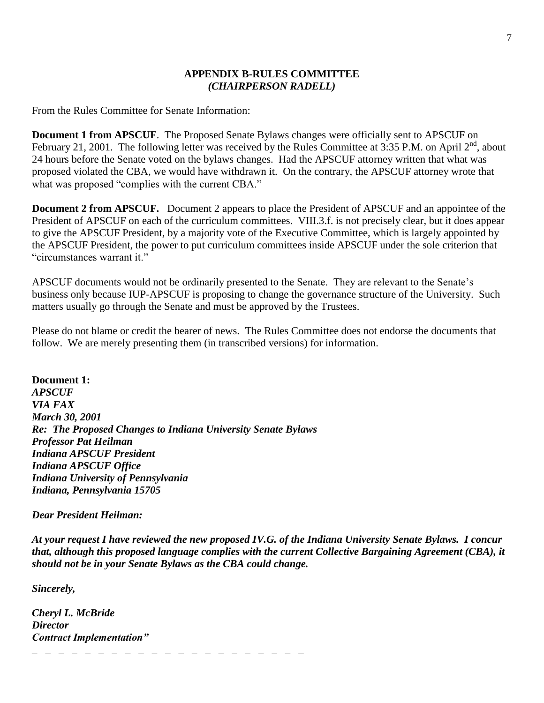#### **APPENDIX B-RULES COMMITTEE** *(CHAIRPERSON RADELL)*

From the Rules Committee for Senate Information:

**Document 1 from APSCUF**. The Proposed Senate Bylaws changes were officially sent to APSCUF on February 21, 2001. The following letter was received by the Rules Committee at 3:35 P.M. on April  $2^{nd}$ , about 24 hours before the Senate voted on the bylaws changes. Had the APSCUF attorney written that what was proposed violated the CBA, we would have withdrawn it. On the contrary, the APSCUF attorney wrote that what was proposed "complies with the current CBA."

**Document 2 from APSCUF.** Document 2 appears to place the President of APSCUF and an appointee of the President of APSCUF on each of the curriculum committees. VIII.3.f. is not precisely clear, but it does appear to give the APSCUF President, by a majority vote of the Executive Committee, which is largely appointed by the APSCUF President, the power to put curriculum committees inside APSCUF under the sole criterion that "circumstances warrant it."

APSCUF documents would not be ordinarily presented to the Senate. They are relevant to the Senate's business only because IUP-APSCUF is proposing to change the governance structure of the University. Such matters usually go through the Senate and must be approved by the Trustees.

Please do not blame or credit the bearer of news. The Rules Committee does not endorse the documents that follow. We are merely presenting them (in transcribed versions) for information.

**Document 1:** *APSCUF VIA FAX March 30, 2001 Re: The Proposed Changes to Indiana University Senate Bylaws Professor Pat Heilman Indiana APSCUF President Indiana APSCUF Office Indiana University of Pennsylvania Indiana, Pennsylvania 15705*

\_ \_ \_ \_ \_ \_ \_ \_ \_ \_ \_ \_ \_ \_ \_ \_ \_ \_ \_ \_ \_

#### *Dear President Heilman:*

*At your request I have reviewed the new proposed IV.G. of the Indiana University Senate Bylaws. I concur that, although this proposed language complies with the current Collective Bargaining Agreement (CBA), it should not be in your Senate Bylaws as the CBA could change.*

*Sincerely,*

*Cheryl L. McBride Director Contract Implementation"*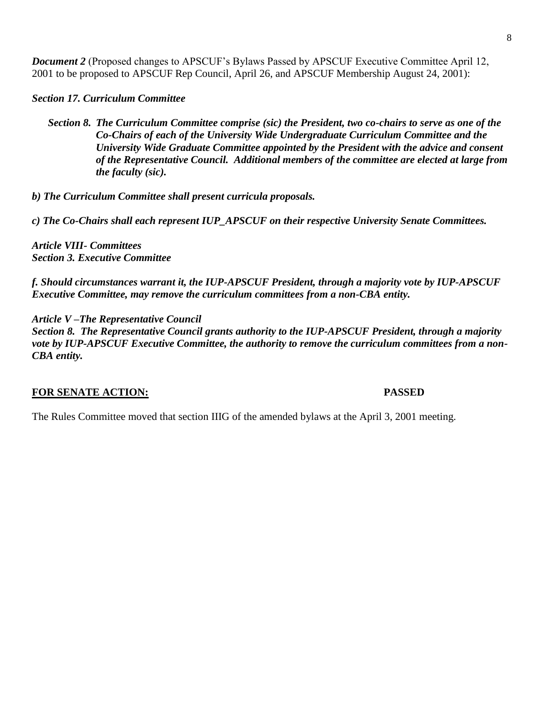*Document 2* (Proposed changes to APSCUF's Bylaws Passed by APSCUF Executive Committee April 12, 2001 to be proposed to APSCUF Rep Council, April 26, and APSCUF Membership August 24, 2001):

*Section 17. Curriculum Committee*

*Section 8. The Curriculum Committee comprise (sic) the President, two co-chairs to serve as one of the Co-Chairs of each of the University Wide Undergraduate Curriculum Committee and the University Wide Graduate Committee appointed by the President with the advice and consent of the Representative Council. Additional members of the committee are elected at large from the faculty (sic).*

*b) The Curriculum Committee shall present curricula proposals.*

*c) The Co-Chairs shall each represent IUP\_APSCUF on their respective University Senate Committees.*

*Article VIII- Committees Section 3. Executive Committee*

*f. Should circumstances warrant it, the IUP-APSCUF President, through a majority vote by IUP-APSCUF Executive Committee, may remove the curriculum committees from a non-CBA entity.*

*Article V –The Representative Council*

*Section 8. The Representative Council grants authority to the IUP-APSCUF President, through a majority vote by IUP-APSCUF Executive Committee, the authority to remove the curriculum committees from a non-CBA entity.*

# **FOR SENATE ACTION: PASSED**

The Rules Committee moved that section IIIG of the amended bylaws at the April 3, 2001 meeting.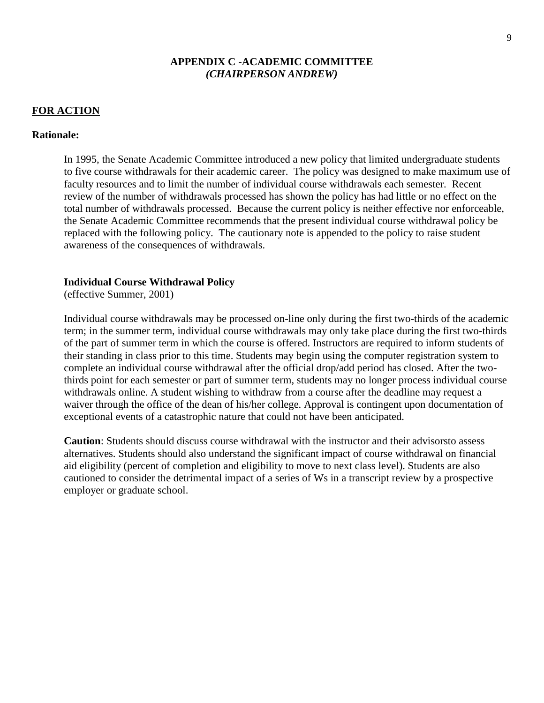#### **APPENDIX C -ACADEMIC COMMITTEE** *(CHAIRPERSON ANDREW)*

#### **FOR ACTION**

#### **Rationale:**

In 1995, the Senate Academic Committee introduced a new policy that limited undergraduate students to five course withdrawals for their academic career. The policy was designed to make maximum use of faculty resources and to limit the number of individual course withdrawals each semester. Recent review of the number of withdrawals processed has shown the policy has had little or no effect on the total number of withdrawals processed. Because the current policy is neither effective nor enforceable, the Senate Academic Committee recommends that the present individual course withdrawal policy be replaced with the following policy. The cautionary note is appended to the policy to raise student awareness of the consequences of withdrawals.

#### **Individual Course Withdrawal Policy**

(effective Summer, 2001)

Individual course withdrawals may be processed on-line only during the first two-thirds of the academic term; in the summer term, individual course withdrawals may only take place during the first two-thirds of the part of summer term in which the course is offered. Instructors are required to inform students of their standing in class prior to this time. Students may begin using the computer registration system to complete an individual course withdrawal after the official drop/add period has closed. After the twothirds point for each semester or part of summer term, students may no longer process individual course withdrawals online. A student wishing to withdraw from a course after the deadline may request a waiver through the office of the dean of his/her college. Approval is contingent upon documentation of exceptional events of a catastrophic nature that could not have been anticipated.

**Caution**: Students should discuss course withdrawal with the instructor and their advisorsto assess alternatives. Students should also understand the significant impact of course withdrawal on financial aid eligibility (percent of completion and eligibility to move to next class level). Students are also cautioned to consider the detrimental impact of a series of Ws in a transcript review by a prospective employer or graduate school.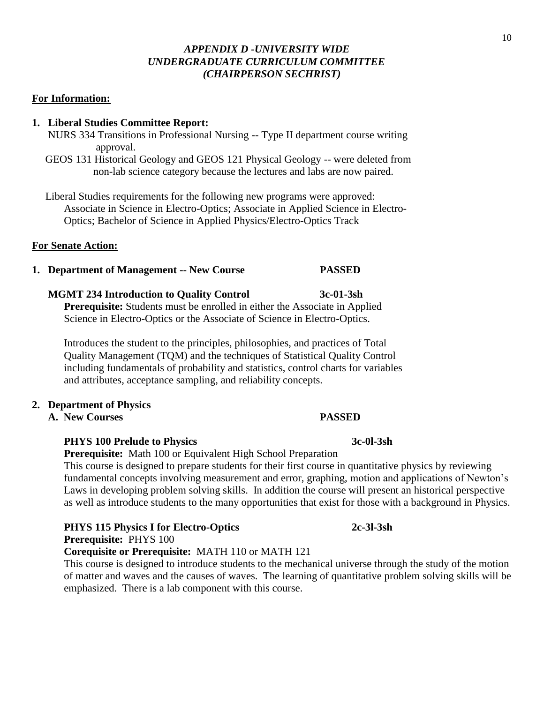#### *APPENDIX D -UNIVERSITY WIDE UNDERGRADUATE CURRICULUM COMMITTEE (CHAIRPERSON SECHRIST)*

#### **For Information:**

#### **1. Liberal Studies Committee Report:**

- NURS 334 Transitions in Professional Nursing -- Type II department course writing approval.
- GEOS 131 Historical Geology and GEOS 121 Physical Geology -- were deleted from non-lab science category because the lectures and labs are now paired.

 Liberal Studies requirements for the following new programs were approved: Associate in Science in Electro-Optics; Associate in Applied Science in Electro- Optics; Bachelor of Science in Applied Physics/Electro-Optics Track

#### **For Senate Action:**

**1. Department of Management -- New Course PASSED**

#### **MGMT 234 Introduction to Quality Control 3c-01-3sh**

**Prerequisite:** Students must be enrolled in either the Associate in Applied Science in Electro-Optics or the Associate of Science in Electro-Optics.

Introduces the student to the principles, philosophies, and practices of Total Quality Management (TQM) and the techniques of Statistical Quality Control including fundamentals of probability and statistics, control charts for variables and attributes, acceptance sampling, and reliability concepts.

#### **2. Department of Physics**

**A. New Courses PASSED**

#### **PHYS 100 Prelude to Physics 3c-0l-3sh**

**Prerequisite:** Math 100 or Equivalent High School Preparation

This course is designed to prepare students for their first course in quantitative physics by reviewing fundamental concepts involving measurement and error, graphing, motion and applications of Newton's Laws in developing problem solving skills. In addition the course will present an historical perspective as well as introduce students to the many opportunities that exist for those with a background in Physics.

# **PHYS 115 Physics I for Electro-Optics 2c-3l-3sh Prerequisite:** PHYS 100

**Corequisite or Prerequisite:** MATH 110 or MATH 121

This course is designed to introduce students to the mechanical universe through the study of the motion of matter and waves and the causes of waves. The learning of quantitative problem solving skills will be emphasized. There is a lab component with this course.

#### 10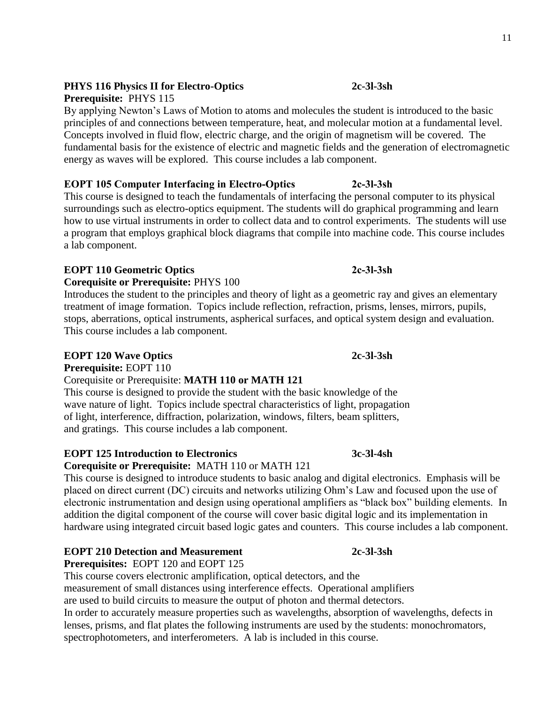# 11

# **PHYS 116 Physics II for Electro-Optics 2c-3l-3sh**

**Prerequisite:** PHYS 115

By applying Newton's Laws of Motion to atoms and molecules the student is introduced to the basic principles of and connections between temperature, heat, and molecular motion at a fundamental level. Concepts involved in fluid flow, electric charge, and the origin of magnetism will be covered. The fundamental basis for the existence of electric and magnetic fields and the generation of electromagnetic energy as waves will be explored. This course includes a lab component.

# **EOPT 105 Computer Interfacing in Electro-Optics 2c-3l-3sh**

This course is designed to teach the fundamentals of interfacing the personal computer to its physical surroundings such as electro-optics equipment. The students will do graphical programming and learn how to use virtual instruments in order to collect data and to control experiments. The students will use a program that employs graphical block diagrams that compile into machine code. This course includes a lab component.

# **EOPT 110 Geometric Optics 2c-3l-3sh**

**Corequisite or Prerequisite:** PHYS 100

Introduces the student to the principles and theory of light as a geometric ray and gives an elementary treatment of image formation. Topics include reflection, refraction, prisms, lenses, mirrors, pupils, stops, aberrations, optical instruments, aspherical surfaces, and optical system design and evaluation. This course includes a lab component.

# **EOPT 120 Wave Optics 2c-3l-3sh**

**Prerequisite:** EOPT 110

# Corequisite or Prerequisite: **MATH 110 or MATH 121**

 This course is designed to provide the student with the basic knowledge of the wave nature of light. Topics include spectral characteristics of light, propagation of light, interference, diffraction, polarization, windows, filters, beam splitters, and gratings. This course includes a lab component.

# **EOPT 125 Introduction to Electronics 3c-3l-4sh**

# **Corequisite or Prerequisite:** MATH 110 or MATH 121

This course is designed to introduce students to basic analog and digital electronics. Emphasis will be placed on direct current (DC) circuits and networks utilizing Ohm's Law and focused upon the use of electronic instrumentation and design using operational amplifiers as "black box" building elements. In addition the digital component of the course will cover basic digital logic and its implementation in hardware using integrated circuit based logic gates and counters. This course includes a lab component.

# **EOPT 210 Detection and Measurement 2c-3l-3sh**

**Prerequisites:** EOPT 120 and EOPT 125 This course covers electronic amplification, optical detectors, and the

measurement of small distances using interference effects. Operational amplifiers

are used to build circuits to measure the output of photon and thermal detectors.

In order to accurately measure properties such as wavelengths, absorption of wavelengths, defects in lenses, prisms, and flat plates the following instruments are used by the students: monochromators, spectrophotometers, and interferometers. A lab is included in this course.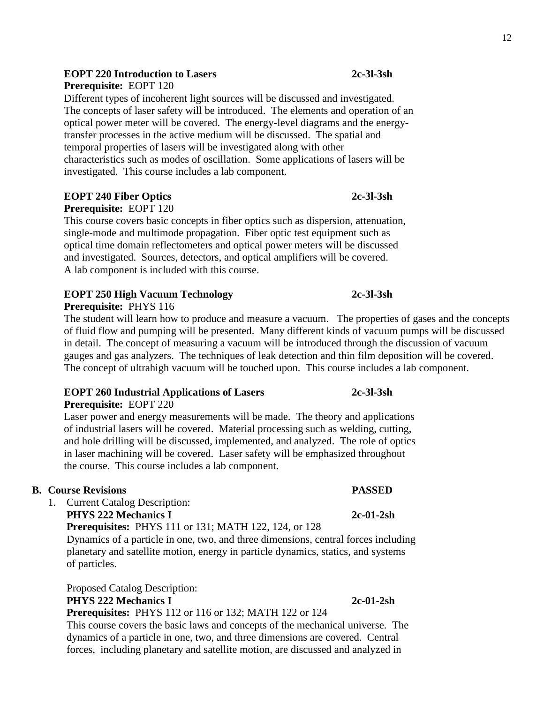#### **EOPT 220 Introduction to Lasers 2c-3l-3sh**

**Prerequisite:** EOPT 120

Different types of incoherent light sources will be discussed and investigated. The concepts of laser safety will be introduced. The elements and operation of an optical power meter will be covered. The energy-level diagrams and the energytransfer processes in the active medium will be discussed. The spatial and temporal properties of lasers will be investigated along with other characteristics such as modes of oscillation. Some applications of lasers will be investigated. This course includes a lab component.

#### **EOPT 240 Fiber Optics 2c-3l-3sh**

**Prerequisite:** EOPT 120

This course covers basic concepts in fiber optics such as dispersion, attenuation, single-mode and multimode propagation. Fiber optic test equipment such as optical time domain reflectometers and optical power meters will be discussed and investigated. Sources, detectors, and optical amplifiers will be covered. A lab component is included with this course.

# **EOPT 250 High Vacuum Technology 2c-3l-3sh**

**Prerequisite:** PHYS 116

The student will learn how to produce and measure a vacuum. The properties of gases and the concepts of fluid flow and pumping will be presented. Many different kinds of vacuum pumps will be discussed in detail. The concept of measuring a vacuum will be introduced through the discussion of vacuum gauges and gas analyzers. The techniques of leak detection and thin film deposition will be covered. The concept of ultrahigh vacuum will be touched upon. This course includes a lab component.

# **EOPT 260 Industrial Applications of Lasers 2c-3l-3sh**

**Prerequisite:** EOPT 220

Laser power and energy measurements will be made. The theory and applications of industrial lasers will be covered. Material processing such as welding, cutting, and hole drilling will be discussed, implemented, and analyzed. The role of optics in laser machining will be covered. Laser safety will be emphasized throughout the course. This course includes a lab component.

## **B. Course Revisions PASSED**

1. Current Catalog Description:

**PHYS 222 Mechanics I 2c-01-2sh**

## **Prerequisites:** PHYS 111 or 131; MATH 122, 124, or 128

Dynamics of a particle in one, two, and three dimensions, central forces including planetary and satellite motion, energy in particle dynamics, statics, and systems of particles.

Proposed Catalog Description:

#### **PHYS 222 Mechanics I 2c-01-2sh**

 **Prerequisites:** PHYS 112 or 116 or 132; MATH 122 or 124

This course covers the basic laws and concepts of the mechanical universe. The dynamics of a particle in one, two, and three dimensions are covered. Central forces, including planetary and satellite motion, are discussed and analyzed in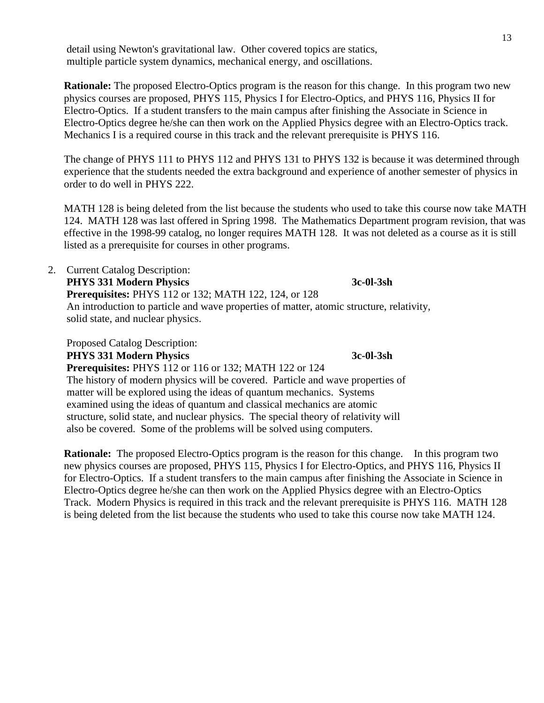detail using Newton's gravitational law. Other covered topics are statics, multiple particle system dynamics, mechanical energy, and oscillations.

**Rationale:** The proposed Electro-Optics program is the reason for this change. In this program two new physics courses are proposed, PHYS 115, Physics I for Electro-Optics, and PHYS 116, Physics II for Electro-Optics. If a student transfers to the main campus after finishing the Associate in Science in Electro-Optics degree he/she can then work on the Applied Physics degree with an Electro-Optics track. Mechanics I is a required course in this track and the relevant prerequisite is PHYS 116.

The change of PHYS 111 to PHYS 112 and PHYS 131 to PHYS 132 is because it was determined through experience that the students needed the extra background and experience of another semester of physics in order to do well in PHYS 222.

MATH 128 is being deleted from the list because the students who used to take this course now take MATH 124. MATH 128 was last offered in Spring 1998. The Mathematics Department program revision, that was effective in the 1998-99 catalog, no longer requires MATH 128. It was not deleted as a course as it is still listed as a prerequisite for courses in other programs.

2. Current Catalog Description: **PHYS 331 Modern Physics 3c-0l-3sh Prerequisites:** PHYS 112 or 132; MATH 122, 124, or 128 An introduction to particle and wave properties of matter, atomic structure, relativity, solid state, and nuclear physics.

Proposed Catalog Description: **PHYS 331 Modern Physics 3c-0l-3sh**

 **Prerequisites:** PHYS 112 or 116 or 132; MATH 122 or 124 The history of modern physics will be covered. Particle and wave properties of matter will be explored using the ideas of quantum mechanics. Systems examined using the ideas of quantum and classical mechanics are atomic structure, solid state, and nuclear physics. The special theory of relativity will also be covered. Some of the problems will be solved using computers.

**Rationale:** The proposed Electro-Optics program is the reason for this change. In this program two new physics courses are proposed, PHYS 115, Physics I for Electro-Optics, and PHYS 116, Physics II for Electro-Optics. If a student transfers to the main campus after finishing the Associate in Science in Electro-Optics degree he/she can then work on the Applied Physics degree with an Electro-Optics Track. Modern Physics is required in this track and the relevant prerequisite is PHYS 116. MATH 128 is being deleted from the list because the students who used to take this course now take MATH 124.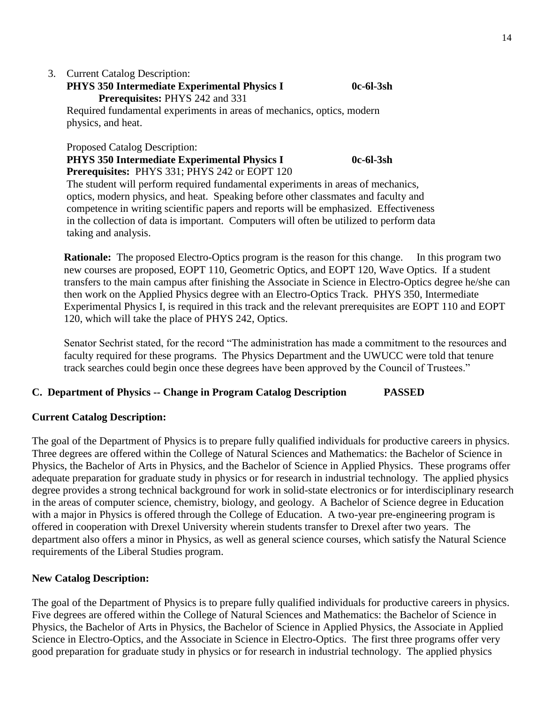# 3. Current Catalog Description:

# **PHYS 350 Intermediate Experimental Physics I 0c-6l-3sh Prerequisites:** PHYS 242 and 331

Required fundamental experiments in areas of mechanics, optics, modern physics, and heat.

Proposed Catalog Description:

# **PHYS 350 Intermediate Experimental Physics I 0c-6l-3sh**

 **Prerequisites:** PHYS 331; PHYS 242 or EOPT 120

 The student will perform required fundamental experiments in areas of mechanics, optics, modern physics, and heat. Speaking before other classmates and faculty and competence in writing scientific papers and reports will be emphasized. Effectiveness in the collection of data is important. Computers will often be utilized to perform data taking and analysis.

**Rationale:** The proposed Electro-Optics program is the reason for this change. In this program two new courses are proposed, EOPT 110, Geometric Optics, and EOPT 120, Wave Optics. If a student transfers to the main campus after finishing the Associate in Science in Electro-Optics degree he/she can then work on the Applied Physics degree with an Electro-Optics Track. PHYS 350, Intermediate Experimental Physics I, is required in this track and the relevant prerequisites are EOPT 110 and EOPT 120, which will take the place of PHYS 242, Optics.

Senator Sechrist stated, for the record "The administration has made a commitment to the resources and faculty required for these programs. The Physics Department and the UWUCC were told that tenure track searches could begin once these degrees have been approved by the Council of Trustees."

# **C. Department of Physics -- Change in Program Catalog Description PASSED**

## **Current Catalog Description:**

The goal of the Department of Physics is to prepare fully qualified individuals for productive careers in physics. Three degrees are offered within the College of Natural Sciences and Mathematics: the Bachelor of Science in Physics, the Bachelor of Arts in Physics, and the Bachelor of Science in Applied Physics. These programs offer adequate preparation for graduate study in physics or for research in industrial technology. The applied physics degree provides a strong technical background for work in solid-state electronics or for interdisciplinary research in the areas of computer science, chemistry, biology, and geology. A Bachelor of Science degree in Education with a major in Physics is offered through the College of Education. A two-year pre-engineering program is offered in cooperation with Drexel University wherein students transfer to Drexel after two years. The department also offers a minor in Physics, as well as general science courses, which satisfy the Natural Science requirements of the Liberal Studies program.

## **New Catalog Description:**

The goal of the Department of Physics is to prepare fully qualified individuals for productive careers in physics. Five degrees are offered within the College of Natural Sciences and Mathematics: the Bachelor of Science in Physics, the Bachelor of Arts in Physics, the Bachelor of Science in Applied Physics, the Associate in Applied Science in Electro-Optics, and the Associate in Science in Electro-Optics. The first three programs offer very good preparation for graduate study in physics or for research in industrial technology. The applied physics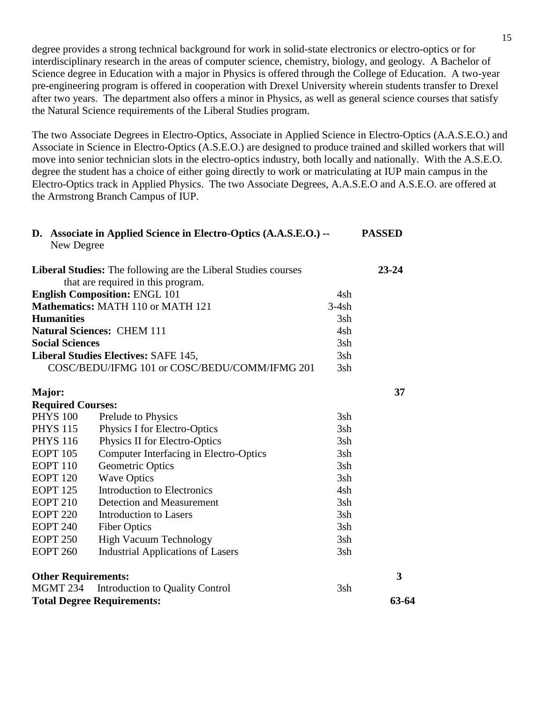degree provides a strong technical background for work in solid-state electronics or electro-optics or for interdisciplinary research in the areas of computer science, chemistry, biology, and geology. A Bachelor of Science degree in Education with a major in Physics is offered through the College of Education. A two-year pre-engineering program is offered in cooperation with Drexel University wherein students transfer to Drexel after two years. The department also offers a minor in Physics, as well as general science courses that satisfy the Natural Science requirements of the Liberal Studies program.

The two Associate Degrees in Electro-Optics, Associate in Applied Science in Electro-Optics (A.A.S.E.O.) and Associate in Science in Electro-Optics (A.S.E.O.) are designed to produce trained and skilled workers that will move into senior technician slots in the electro-optics industry, both locally and nationally. With the A.S.E.O. degree the student has a choice of either going directly to work or matriculating at IUP main campus in the Electro-Optics track in Applied Physics. The two Associate Degrees, A.A.S.E.O and A.S.E.O. are offered at the Armstrong Branch Campus of IUP.

|                     | D. Associate in Applied Science in Electro-Optics (A.A.S.E.O.) --<br>New Degree                             |         | <b>PASSED</b>           |
|---------------------|-------------------------------------------------------------------------------------------------------------|---------|-------------------------|
|                     | <b>Liberal Studies:</b> The following are the Liberal Studies courses<br>that are required in this program. |         | $23 - 24$               |
|                     | <b>English Composition: ENGL 101</b>                                                                        | 4sh     |                         |
|                     | Mathematics: MATH 110 or MATH 121                                                                           | $3-4sh$ |                         |
| <b>Humanities</b>   |                                                                                                             | 3sh     |                         |
|                     | <b>Natural Sciences: CHEM 111</b>                                                                           | 4sh     |                         |
|                     | <b>Social Sciences</b>                                                                                      | 3sh     |                         |
|                     | <b>Liberal Studies Electives: SAFE 145,</b>                                                                 | 3sh     |                         |
|                     | COSC/BEDU/IFMG 101 or COSC/BEDU/COMM/IFMG 201                                                               | 3sh     |                         |
| Major:              |                                                                                                             |         | 37                      |
|                     | <b>Required Courses:</b>                                                                                    |         |                         |
| <b>PHYS 100</b>     | Prelude to Physics                                                                                          | 3sh     |                         |
| <b>PHYS 115</b>     | Physics I for Electro-Optics                                                                                | 3sh     |                         |
| <b>PHYS 116</b>     | Physics II for Electro-Optics                                                                               | 3sh     |                         |
| <b>EOPT 105</b>     | <b>Computer Interfacing in Electro-Optics</b>                                                               | 3sh     |                         |
| EOPT <sub>110</sub> | Geometric Optics                                                                                            | 3sh     |                         |
| <b>EOPT 120</b>     | <b>Wave Optics</b>                                                                                          | 3sh     |                         |
| <b>EOPT</b> 125     | Introduction to Electronics                                                                                 | 4sh     |                         |
| <b>EOPT 210</b>     | Detection and Measurement                                                                                   | 3sh     |                         |
| <b>EOPT 220</b>     | <b>Introduction to Lasers</b>                                                                               | 3sh     |                         |
| <b>EOPT 240</b>     | <b>Fiber Optics</b>                                                                                         | 3sh     |                         |
| <b>EOPT 250</b>     | <b>High Vacuum Technology</b>                                                                               | 3sh     |                         |
| <b>EOPT 260</b>     | <b>Industrial Applications of Lasers</b>                                                                    | 3sh     |                         |
|                     | <b>Other Requirements:</b>                                                                                  |         | $\overline{\mathbf{3}}$ |
| MGMT 234            | Introduction to Quality Control                                                                             | 3sh     |                         |
|                     | <b>Total Degree Requirements:</b>                                                                           |         | 63-64                   |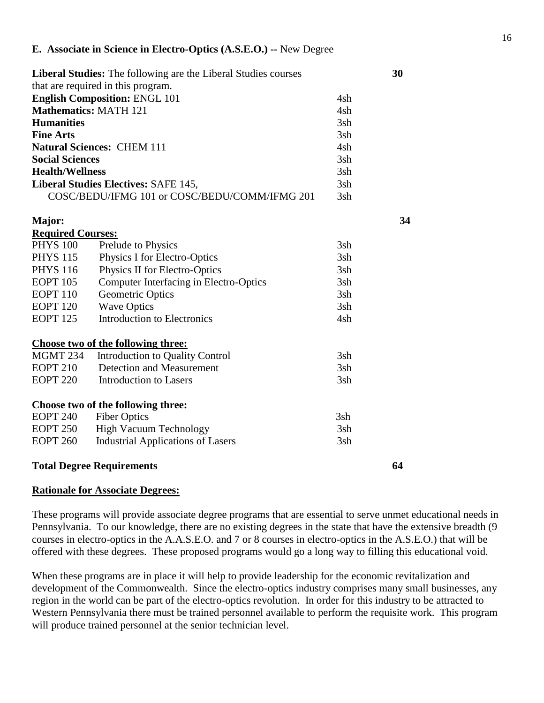| <b>Liberal Studies:</b> The following are the Liberal Studies courses |                                               |     |    |  |
|-----------------------------------------------------------------------|-----------------------------------------------|-----|----|--|
|                                                                       | that are required in this program.            |     |    |  |
| <b>English Composition: ENGL 101</b>                                  | 4sh                                           |     |    |  |
| <b>Mathematics: MATH 121</b>                                          |                                               | 4sh |    |  |
| <b>Humanities</b>                                                     |                                               | 3sh |    |  |
| <b>Fine Arts</b>                                                      |                                               | 3sh |    |  |
|                                                                       | <b>Natural Sciences: CHEM 111</b>             | 4sh |    |  |
| <b>Social Sciences</b>                                                |                                               | 3sh |    |  |
| <b>Health/Wellness</b>                                                |                                               | 3sh |    |  |
|                                                                       | <b>Liberal Studies Electives: SAFE 145,</b>   | 3sh |    |  |
|                                                                       | COSC/BEDU/IFMG 101 or COSC/BEDU/COMM/IFMG 201 | 3sh |    |  |
| Major:                                                                |                                               |     | 34 |  |
| <b>Required Courses:</b>                                              |                                               |     |    |  |
| <b>PHYS 100</b>                                                       | Prelude to Physics                            | 3sh |    |  |
| <b>PHYS 115</b>                                                       | Physics I for Electro-Optics                  | 3sh |    |  |
| <b>PHYS 116</b>                                                       | Physics II for Electro-Optics                 | 3sh |    |  |
| <b>EOPT 105</b>                                                       | <b>Computer Interfacing in Electro-Optics</b> | 3sh |    |  |
| <b>EOPT 110</b>                                                       | <b>Geometric Optics</b>                       | 3sh |    |  |
| <b>EOPT 120</b>                                                       | <b>Wave Optics</b>                            | 3sh |    |  |
| <b>EOPT 125</b>                                                       | <b>Introduction to Electronics</b>            | 4sh |    |  |
|                                                                       | Choose two of the following three:            |     |    |  |
| <b>MGMT 234</b>                                                       | Introduction to Quality Control               | 3sh |    |  |
| <b>EOPT 210</b>                                                       | <b>Detection and Measurement</b>              | 3sh |    |  |
| <b>EOPT 220</b>                                                       | <b>Introduction to Lasers</b>                 | 3sh |    |  |
|                                                                       | Choose two of the following three:            |     |    |  |
| <b>EOPT 240</b>                                                       | <b>Fiber Optics</b>                           | 3sh |    |  |
| <b>EOPT 250</b>                                                       | <b>High Vacuum Technology</b>                 | 3sh |    |  |
| <b>EOPT 260</b>                                                       | <b>Industrial Applications of Lasers</b>      | 3sh |    |  |
|                                                                       | <b>Total Degree Requirements</b>              |     | 64 |  |

#### **Rationale for Associate Degrees:**

These programs will provide associate degree programs that are essential to serve unmet educational needs in Pennsylvania. To our knowledge, there are no existing degrees in the state that have the extensive breadth (9 courses in electro-optics in the A.A.S.E.O. and 7 or 8 courses in electro-optics in the A.S.E.O.) that will be offered with these degrees. These proposed programs would go a long way to filling this educational void.

When these programs are in place it will help to provide leadership for the economic revitalization and development of the Commonwealth. Since the electro-optics industry comprises many small businesses, any region in the world can be part of the electro-optics revolution. In order for this industry to be attracted to Western Pennsylvania there must be trained personnel available to perform the requisite work. This program will produce trained personnel at the senior technician level.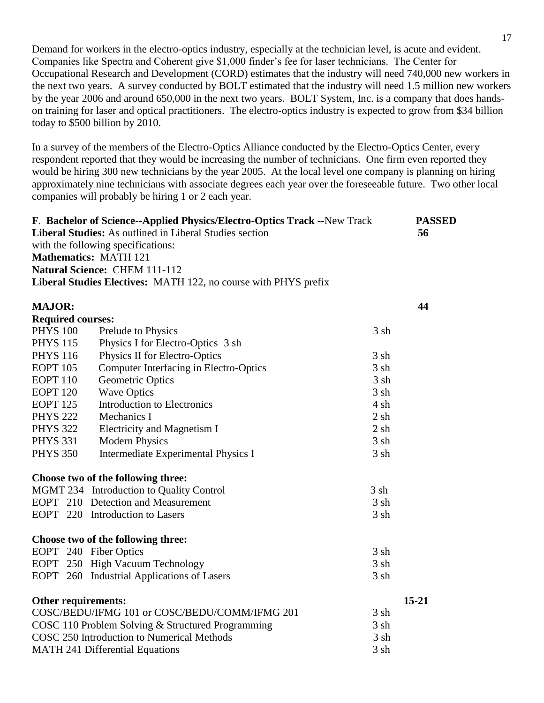Demand for workers in the electro-optics industry, especially at the technician level, is acute and evident. Companies like Spectra and Coherent give \$1,000 finder's fee for laser technicians. The Center for Occupational Research and Development (CORD) estimates that the industry will need 740,000 new workers in the next two years. A survey conducted by BOLT estimated that the industry will need 1.5 million new workers by the year 2006 and around 650,000 in the next two years. BOLT System, Inc. is a company that does handson training for laser and optical practitioners. The electro-optics industry is expected to grow from \$34 billion today to \$500 billion by 2010.

In a survey of the members of the Electro-Optics Alliance conducted by the Electro-Optics Center, every respondent reported that they would be increasing the number of technicians. One firm even reported they would be hiring 300 new technicians by the year 2005. At the local level one company is planning on hiring approximately nine technicians with associate degrees each year over the foreseeable future. Two other local companies will probably be hiring 1 or 2 each year.

| F. Bachelor of Science--Applied Physics/Electro-Optics Track -- New Track |                                                                 |           |           |  |
|---------------------------------------------------------------------------|-----------------------------------------------------------------|-----------|-----------|--|
|                                                                           | Liberal Studies: As outlined in Liberal Studies section         |           | 56        |  |
|                                                                           | with the following specifications:                              |           |           |  |
|                                                                           | <b>Mathematics: MATH 121</b>                                    |           |           |  |
|                                                                           | Natural Science: CHEM 111-112                                   |           |           |  |
|                                                                           | Liberal Studies Electives: MATH 122, no course with PHYS prefix |           |           |  |
| <b>MAJOR:</b>                                                             |                                                                 |           | 44        |  |
| <b>Required courses:</b>                                                  |                                                                 |           |           |  |
| <b>PHYS 100</b>                                                           | Prelude to Physics                                              | 3 sh      |           |  |
| <b>PHYS 115</b>                                                           | Physics I for Electro-Optics 3 sh                               |           |           |  |
| <b>PHYS 116</b>                                                           | Physics II for Electro-Optics                                   | 3 sh      |           |  |
| <b>EOPT 105</b>                                                           | Computer Interfacing in Electro-Optics                          | 3 sh      |           |  |
| <b>EOPT 110</b>                                                           | Geometric Optics                                                | 3 sh      |           |  |
| <b>EOPT</b> 120                                                           | <b>Wave Optics</b>                                              | 3 sh      |           |  |
| <b>EOPT</b> 125                                                           | <b>Introduction to Electronics</b>                              | $4 \,$ sh |           |  |
| <b>PHYS 222</b>                                                           | Mechanics I                                                     | 2 sh      |           |  |
| <b>PHYS 322</b>                                                           | Electricity and Magnetism I                                     | 2 sh      |           |  |
| <b>PHYS 331</b>                                                           | <b>Modern Physics</b>                                           | 3 sh      |           |  |
| <b>PHYS 350</b>                                                           | Intermediate Experimental Physics I                             | 3 sh      |           |  |
|                                                                           | Choose two of the following three:                              |           |           |  |
|                                                                           | MGMT 234 Introduction to Quality Control                        | 3 sh      |           |  |
|                                                                           | EOPT 210 Detection and Measurement                              | 3 sh      |           |  |
|                                                                           | EOPT 220 Introduction to Lasers                                 | 3 sh      |           |  |
|                                                                           | Choose two of the following three:                              |           |           |  |
|                                                                           | EOPT 240 Fiber Optics                                           | 3 sh      |           |  |
|                                                                           | EOPT 250 High Vacuum Technology                                 | 3 sh      |           |  |
|                                                                           | EOPT 260 Industrial Applications of Lasers                      | 3 sh      |           |  |
| Other requirements:                                                       |                                                                 |           | $15 - 21$ |  |
|                                                                           | COSC/BEDU/IFMG 101 or COSC/BEDU/COMM/IFMG 201                   | 3 sh      |           |  |
|                                                                           | COSC 110 Problem Solving & Structured Programming               | 3 sh      |           |  |
|                                                                           | COSC 250 Introduction to Numerical Methods                      | 3 sh      |           |  |
|                                                                           | <b>MATH 241 Differential Equations</b>                          | 3 sh      |           |  |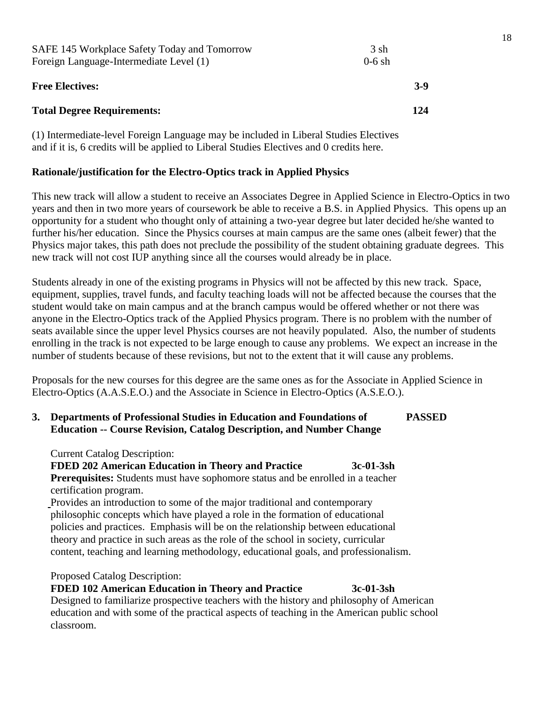| SAFE 145 Workplace Safety Today and Tomorrow<br>Foreign Language-Intermediate Level (1) | 3 sh<br>$0-6$ sh |  |  |
|-----------------------------------------------------------------------------------------|------------------|--|--|
| <b>Free Electives:</b>                                                                  | $3-9$            |  |  |
| <b>Total Degree Requirements:</b>                                                       | 124              |  |  |
|                                                                                         |                  |  |  |

(1) Intermediate-level Foreign Language may be included in Liberal Studies Electives and if it is, 6 credits will be applied to Liberal Studies Electives and 0 credits here.

#### **Rationale/justification for the Electro-Optics track in Applied Physics**

This new track will allow a student to receive an Associates Degree in Applied Science in Electro-Optics in two years and then in two more years of coursework be able to receive a B.S. in Applied Physics. This opens up an opportunity for a student who thought only of attaining a two-year degree but later decided he/she wanted to further his/her education. Since the Physics courses at main campus are the same ones (albeit fewer) that the Physics major takes, this path does not preclude the possibility of the student obtaining graduate degrees. This new track will not cost IUP anything since all the courses would already be in place.

Students already in one of the existing programs in Physics will not be affected by this new track. Space, equipment, supplies, travel funds, and faculty teaching loads will not be affected because the courses that the student would take on main campus and at the branch campus would be offered whether or not there was anyone in the Electro-Optics track of the Applied Physics program. There is no problem with the number of seats available since the upper level Physics courses are not heavily populated. Also, the number of students enrolling in the track is not expected to be large enough to cause any problems. We expect an increase in the number of students because of these revisions, but not to the extent that it will cause any problems.

Proposals for the new courses for this degree are the same ones as for the Associate in Applied Science in Electro-Optics (A.A.S.E.O.) and the Associate in Science in Electro-Optics (A.S.E.O.).

#### **3. Departments of Professional Studies in Education and Foundations of PASSED Education -- Course Revision, Catalog Description, and Number Change**

Current Catalog Description:

#### **FDED 202 American Education in Theory and Practice 3c-01-3sh**

 **Prerequisites:** Students must have sophomore status and be enrolled in a teacher certification program.

Provides an introduction to some of the major traditional and contemporary philosophic concepts which have played a role in the formation of educational policies and practices. Emphasis will be on the relationship between educational theory and practice in such areas as the role of the school in society, curricular content, teaching and learning methodology, educational goals, and professionalism.

#### Proposed Catalog Description:

 **FDED 102 American Education in Theory and Practice 3c-01-3sh** Designed to familiarize prospective teachers with the history and philosophy of American education and with some of the practical aspects of teaching in the American public school classroom.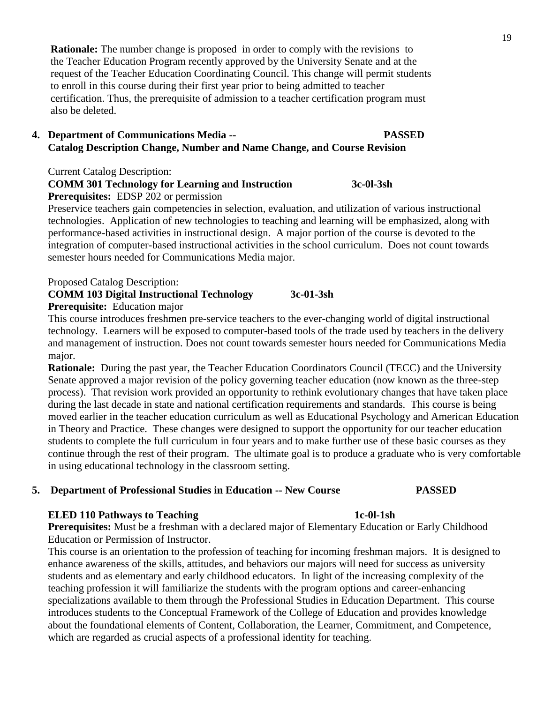**Rationale:** The number change is proposed in order to comply with the revisions to the Teacher Education Program recently approved by the University Senate and at the request of the Teacher Education Coordinating Council. This change will permit students to enroll in this course during their first year prior to being admitted to teacher certification. Thus, the prerequisite of admission to a teacher certification program must also be deleted.

#### **4. Department of Communications Media -- PASSED Catalog Description Change, Number and Name Change, and Course Revision**

Current Catalog Description:

## **COMM 301 Technology for Learning and Instruction 3c-0l-3sh**

**Prerequisites:** EDSP 202 or permission

Preservice teachers gain competencies in selection, evaluation, and utilization of various instructional technologies. Application of new technologies to teaching and learning will be emphasized, along with performance-based activities in instructional design. A major portion of the course is devoted to the integration of computer-based instructional activities in the school curriculum. Does not count towards semester hours needed for Communications Media major.

Proposed Catalog Description:

# **COMM 103 Digital Instructional Technology 3c-01-3sh**

**Prerequisite:** Education major

This course introduces freshmen pre-service teachers to the ever-changing world of digital instructional technology. Learners will be exposed to computer-based tools of the trade used by teachers in the delivery and management of instruction. Does not count towards semester hours needed for Communications Media major.

**Rationale:** During the past year, the Teacher Education Coordinators Council (TECC) and the University Senate approved a major revision of the policy governing teacher education (now known as the three-step process). That revision work provided an opportunity to rethink evolutionary changes that have taken place during the last decade in state and national certification requirements and standards. This course is being moved earlier in the teacher education curriculum as well as Educational Psychology and American Education in Theory and Practice. These changes were designed to support the opportunity for our teacher education students to complete the full curriculum in four years and to make further use of these basic courses as they continue through the rest of their program. The ultimate goal is to produce a graduate who is very comfortable in using educational technology in the classroom setting.

## **5. Department of Professional Studies in Education -- New Course PASSED**

#### **ELED 110 Pathways to Teaching 1c-0l-1sh**

**Prerequisites:** Must be a freshman with a declared major of Elementary Education or Early Childhood Education or Permission of Instructor.

This course is an orientation to the profession of teaching for incoming freshman majors. It is designed to enhance awareness of the skills, attitudes, and behaviors our majors will need for success as university students and as elementary and early childhood educators. In light of the increasing complexity of the teaching profession it will familiarize the students with the program options and career-enhancing specializations available to them through the Professional Studies in Education Department. This course introduces students to the Conceptual Framework of the College of Education and provides knowledge about the foundational elements of Content, Collaboration, the Learner, Commitment, and Competence, which are regarded as crucial aspects of a professional identity for teaching.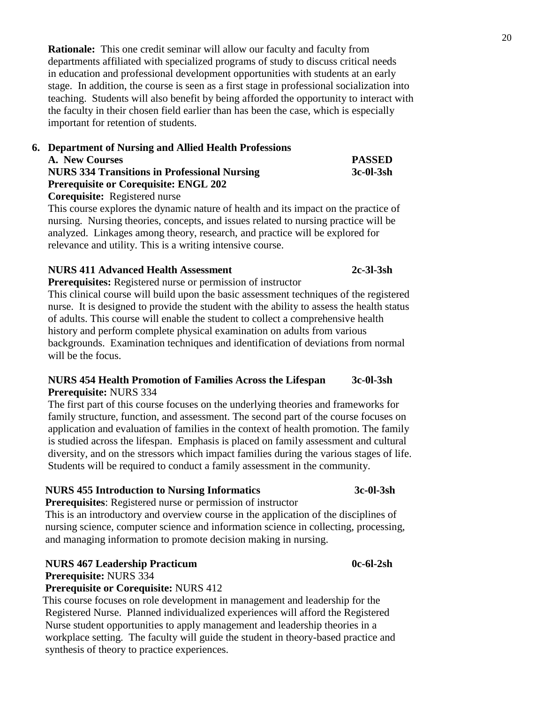**Rationale:** This one credit seminar will allow our faculty and faculty from departments affiliated with specialized programs of study to discuss critical needs in education and professional development opportunities with students at an early stage. In addition, the course is seen as a first stage in professional socialization into teaching. Students will also benefit by being afforded the opportunity to interact with the faculty in their chosen field earlier than has been the case, which is especially important for retention of students.

# **6. Department of Nursing and Allied Health Professions**

| A. New Courses                                      | <b>PASSED</b> |
|-----------------------------------------------------|---------------|
| <b>NURS 334 Transitions in Professional Nursing</b> | $3c-0l-3sh$   |
| <b>Prerequisite or Corequisite: ENGL 202</b>        |               |
|                                                     |               |

 **Corequisite:** Registered nurse

 This course explores the dynamic nature of health and its impact on the practice of nursing. Nursing theories, concepts, and issues related to nursing practice will be analyzed. Linkages among theory, research, and practice will be explored for relevance and utility. This is a writing intensive course.

#### **NURS 411 Advanced Health Assessment 2c-3l-3sh**

 **Prerequisites:** Registered nurse or permission of instructor

 This clinical course will build upon the basic assessment techniques of the registered nurse. It is designed to provide the student with the ability to assess the health status of adults. This course will enable the student to collect a comprehensive health history and perform complete physical examination on adults from various backgrounds. Examination techniques and identification of deviations from normal will be the focus.

#### **NURS 454 Health Promotion of Families Across the Lifespan 3c-0l-3sh Prerequisite:** NURS 334

 The first part of this course focuses on the underlying theories and frameworks for family structure, function, and assessment. The second part of the course focuses on application and evaluation of families in the context of health promotion. The family is studied across the lifespan. Emphasis is placed on family assessment and cultural diversity, and on the stressors which impact families during the various stages of life. Students will be required to conduct a family assessment in the community.

## **NURS 455 Introduction to Nursing Informatics 3c-0l-3sh**

 **Prerequisites**: Registered nurse or permission of instructor

 This is an introductory and overview course in the application of the disciplines of nursing science, computer science and information science in collecting, processing, and managing information to promote decision making in nursing.

## **NURS 467 Leadership Practicum 0c-6l-2sh**

 **Prerequisite:** NURS 334

## **Prerequisite or Corequisite:** NURS 412

 This course focuses on role development in management and leadership for the Registered Nurse. Planned individualized experiences will afford the Registered Nurse student opportunities to apply management and leadership theories in a workplace setting. The faculty will guide the student in theory-based practice and synthesis of theory to practice experiences.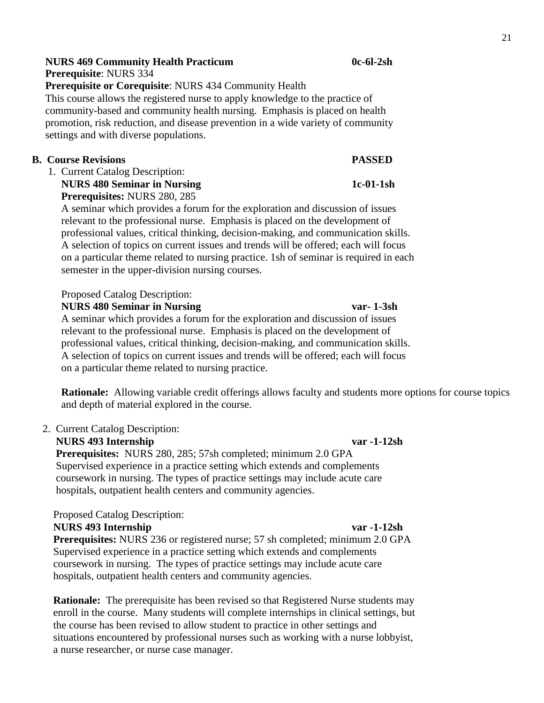## **NURS 469 Community Health Practicum 0c-6l-2sh**

**Prerequisite**: NURS 334

 **Prerequisite or Corequisite**: NURS 434 Community Health This course allows the registered nurse to apply knowledge to the practice of community-based and community health nursing. Emphasis is placed on health promotion, risk reduction, and disease prevention in a wide variety of community settings and with diverse populations.

#### **B. Course Revisions PASSED**

1. Current Catalog Description:

 **NURS 480 Seminar in Nursing 1c-01-1sh Prerequisites:** NURS 280, 285

 A seminar which provides a forum for the exploration and discussion of issues relevant to the professional nurse. Emphasis is placed on the development of professional values, critical thinking, decision-making, and communication skills. A selection of topics on current issues and trends will be offered; each will focus on a particular theme related to nursing practice. 1sh of seminar is required in each semester in the upper-division nursing courses.

#### Proposed Catalog Description:

 **NURS 480 Seminar in Nursing var- 1-3sh**

A seminar which provides a forum for the exploration and discussion of issues relevant to the professional nurse. Emphasis is placed on the development of professional values, critical thinking, decision-making, and communication skills. A selection of topics on current issues and trends will be offered; each will focus on a particular theme related to nursing practice.

**Rationale:** Allowing variable credit offerings allows faculty and students more options for course topics and depth of material explored in the course.

#### 2. Current Catalog Description:

 **NURS 493 Internship var -1-12sh**

 **Prerequisites:** NURS 280, 285; 57sh completed; minimum 2.0 GPA Supervised experience in a practice setting which extends and complements coursework in nursing. The types of practice settings may include acute care hospitals, outpatient health centers and community agencies.

## Proposed Catalog Description:

 **NURS 493 Internship var -1-12sh**

 **Prerequisites:** NURS 236 or registered nurse; 57 sh completed; minimum 2.0 GPA Supervised experience in a practice setting which extends and complements coursework in nursing. The types of practice settings may include acute care hospitals, outpatient health centers and community agencies.

 **Rationale:** The prerequisite has been revised so that Registered Nurse students may enroll in the course. Many students will complete internships in clinical settings, but the course has been revised to allow student to practice in other settings and situations encountered by professional nurses such as working with a nurse lobbyist, a nurse researcher, or nurse case manager.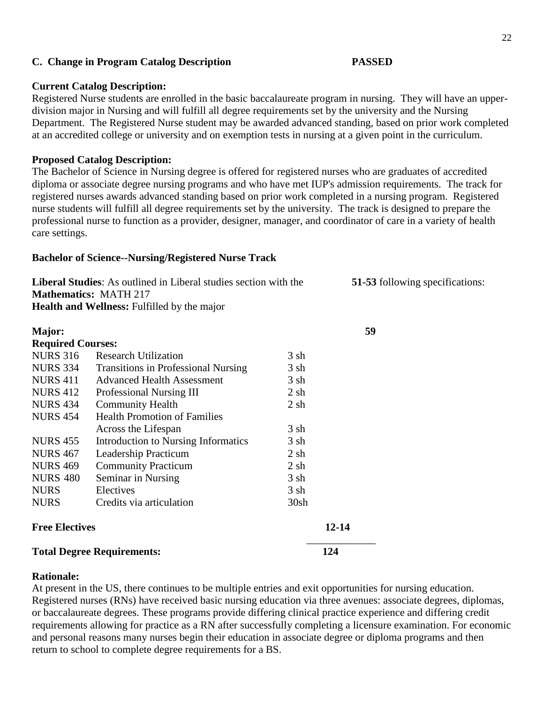#### **C. Change in Program Catalog Description PASSED**

#### **Current Catalog Description:**

### Registered Nurse students are enrolled in the basic baccalaureate program in nursing. They will have an upperdivision major in Nursing and will fulfill all degree requirements set by the university and the Nursing Department. The Registered Nurse student may be awarded advanced standing, based on prior work completed at an accredited college or university and on exemption tests in nursing at a given point in the curriculum.

#### **Proposed Catalog Description:**

The Bachelor of Science in Nursing degree is offered for registered nurses who are graduates of accredited diploma or associate degree nursing programs and who have met IUP's admission requirements. The track for registered nurses awards advanced standing based on prior work completed in a nursing program. Registered nurse students will fulfill all degree requirements set by the university. The track is designed to prepare the professional nurse to function as a provider, designer, manager, and coordinator of care in a variety of health care settings.

#### **Bachelor of Science--Nursing/Registered Nurse Track**

| <b>Liberal Studies:</b> As outlined in Liberal studies section with the | 51-53 following specifications: |
|-------------------------------------------------------------------------|---------------------------------|
| <b>Mathematics: MATH 217</b>                                            |                                 |
| <b>Health and Wellness:</b> Fulfilled by the major                      |                                 |

| Major:                            |                                            |           | 59        |
|-----------------------------------|--------------------------------------------|-----------|-----------|
| <b>Required Courses:</b>          |                                            |           |           |
| <b>NURS 316</b>                   | <b>Research Utilization</b>                | 3 sh      |           |
| <b>NURS 334</b>                   | <b>Transitions in Professional Nursing</b> | 3 sh      |           |
| <b>NURS 411</b>                   | <b>Advanced Health Assessment</b>          | 3 sh      |           |
| <b>NURS 412</b>                   | Professional Nursing III                   | $2 \,$ sh |           |
| <b>NURS 434</b>                   | <b>Community Health</b>                    | $2 \,$ sh |           |
| <b>NURS 454</b>                   | <b>Health Promotion of Families</b>        |           |           |
|                                   | Across the Lifespan                        | $3 \,$ sh |           |
| <b>NURS 455</b>                   | Introduction to Nursing Informatics        | 3 sh      |           |
| <b>NURS 467</b>                   | Leadership Practicum                       | $2 \,$ sh |           |
| <b>NURS 469</b>                   | <b>Community Practicum</b>                 | $2 \,$ sh |           |
| <b>NURS 480</b>                   | Seminar in Nursing                         | 3 sh      |           |
| <b>NURS</b>                       | Electives                                  | 3 sh      |           |
| <b>NURS</b>                       | Credits via articulation                   | 30sh      |           |
| <b>Free Electives</b>             |                                            |           | $12 - 14$ |
| <b>Total Degree Requirements:</b> |                                            |           | 124       |

#### **Rationale:**

At present in the US, there continues to be multiple entries and exit opportunities for nursing education. Registered nurses (RNs) have received basic nursing education via three avenues: associate degrees, diplomas, or baccalaureate degrees. These programs provide differing clinical practice experience and differing credit requirements allowing for practice as a RN after successfully completing a licensure examination. For economic and personal reasons many nurses begin their education in associate degree or diploma programs and then return to school to complete degree requirements for a BS.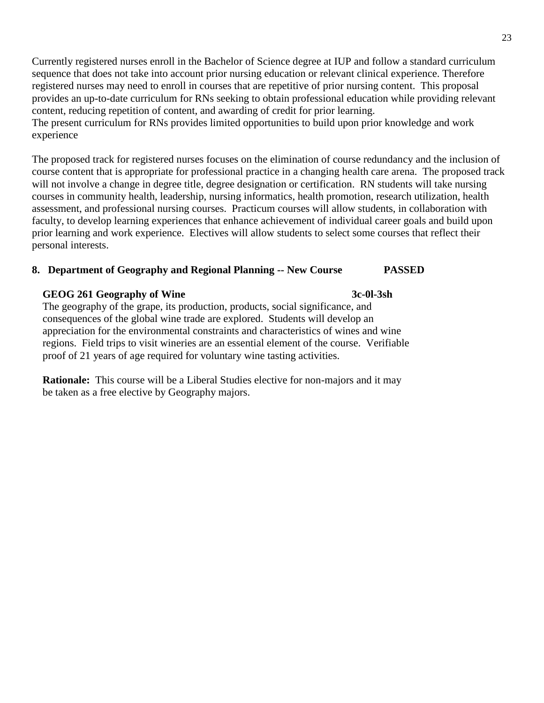Currently registered nurses enroll in the Bachelor of Science degree at IUP and follow a standard curriculum sequence that does not take into account prior nursing education or relevant clinical experience. Therefore registered nurses may need to enroll in courses that are repetitive of prior nursing content. This proposal provides an up-to-date curriculum for RNs seeking to obtain professional education while providing relevant content, reducing repetition of content, and awarding of credit for prior learning. The present curriculum for RNs provides limited opportunities to build upon prior knowledge and work experience

The proposed track for registered nurses focuses on the elimination of course redundancy and the inclusion of course content that is appropriate for professional practice in a changing health care arena. The proposed track will not involve a change in degree title, degree designation or certification. RN students will take nursing courses in community health, leadership, nursing informatics, health promotion, research utilization, health assessment, and professional nursing courses. Practicum courses will allow students, in collaboration with faculty, to develop learning experiences that enhance achievement of individual career goals and build upon prior learning and work experience. Electives will allow students to select some courses that reflect their personal interests.

#### **8. Department of Geography and Regional Planning -- New Course PASSED**

#### **GEOG 261 Geography of Wine 3c-0l-3sh**

The geography of the grape, its production, products, social significance, and consequences of the global wine trade are explored. Students will develop an appreciation for the environmental constraints and characteristics of wines and wine regions. Field trips to visit wineries are an essential element of the course. Verifiable proof of 21 years of age required for voluntary wine tasting activities.

 **Rationale:** This course will be a Liberal Studies elective for non-majors and it may be taken as a free elective by Geography majors.

23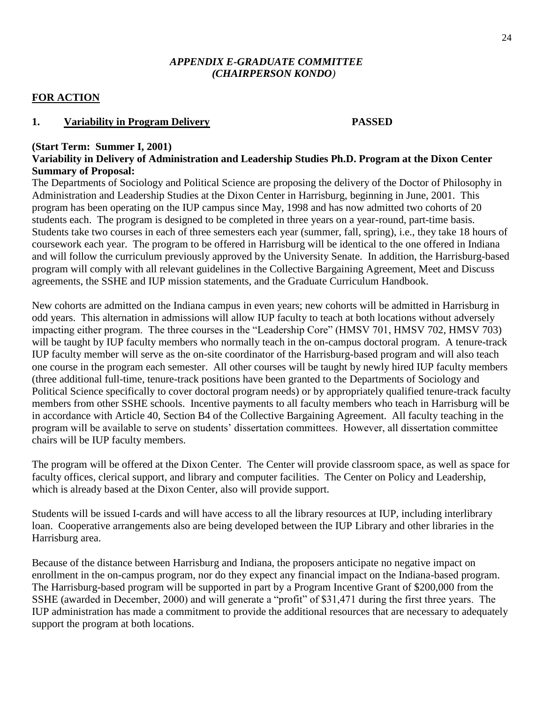#### *APPENDIX E-GRADUATE COMMITTEE (CHAIRPERSON KONDO)*

## **FOR ACTION**

#### **1. Variability in Program Delivery PASSED**

#### **(Start Term: Summer I, 2001)**

### **Variability in Delivery of Administration and Leadership Studies Ph.D. Program at the Dixon Center Summary of Proposal:**

The Departments of Sociology and Political Science are proposing the delivery of the Doctor of Philosophy in Administration and Leadership Studies at the Dixon Center in Harrisburg, beginning in June, 2001. This program has been operating on the IUP campus since May, 1998 and has now admitted two cohorts of 20 students each. The program is designed to be completed in three years on a year-round, part-time basis. Students take two courses in each of three semesters each year (summer, fall, spring), i.e., they take 18 hours of coursework each year. The program to be offered in Harrisburg will be identical to the one offered in Indiana and will follow the curriculum previously approved by the University Senate. In addition, the Harrisburg-based program will comply with all relevant guidelines in the Collective Bargaining Agreement, Meet and Discuss agreements, the SSHE and IUP mission statements, and the Graduate Curriculum Handbook.

New cohorts are admitted on the Indiana campus in even years; new cohorts will be admitted in Harrisburg in odd years. This alternation in admissions will allow IUP faculty to teach at both locations without adversely impacting either program. The three courses in the "Leadership Core" (HMSV 701, HMSV 702, HMSV 703) will be taught by IUP faculty members who normally teach in the on-campus doctoral program. A tenure-track IUP faculty member will serve as the on-site coordinator of the Harrisburg-based program and will also teach one course in the program each semester. All other courses will be taught by newly hired IUP faculty members (three additional full-time, tenure-track positions have been granted to the Departments of Sociology and Political Science specifically to cover doctoral program needs) or by appropriately qualified tenure-track faculty members from other SSHE schools. Incentive payments to all faculty members who teach in Harrisburg will be in accordance with Article 40, Section B4 of the Collective Bargaining Agreement. All faculty teaching in the program will be available to serve on students' dissertation committees. However, all dissertation committee chairs will be IUP faculty members.

The program will be offered at the Dixon Center. The Center will provide classroom space, as well as space for faculty offices, clerical support, and library and computer facilities. The Center on Policy and Leadership, which is already based at the Dixon Center, also will provide support.

Students will be issued I-cards and will have access to all the library resources at IUP, including interlibrary loan. Cooperative arrangements also are being developed between the IUP Library and other libraries in the Harrisburg area.

Because of the distance between Harrisburg and Indiana, the proposers anticipate no negative impact on enrollment in the on-campus program, nor do they expect any financial impact on the Indiana-based program. The Harrisburg-based program will be supported in part by a Program Incentive Grant of \$200,000 from the SSHE (awarded in December, 2000) and will generate a "profit" of \$31,471 during the first three years. The IUP administration has made a commitment to provide the additional resources that are necessary to adequately support the program at both locations.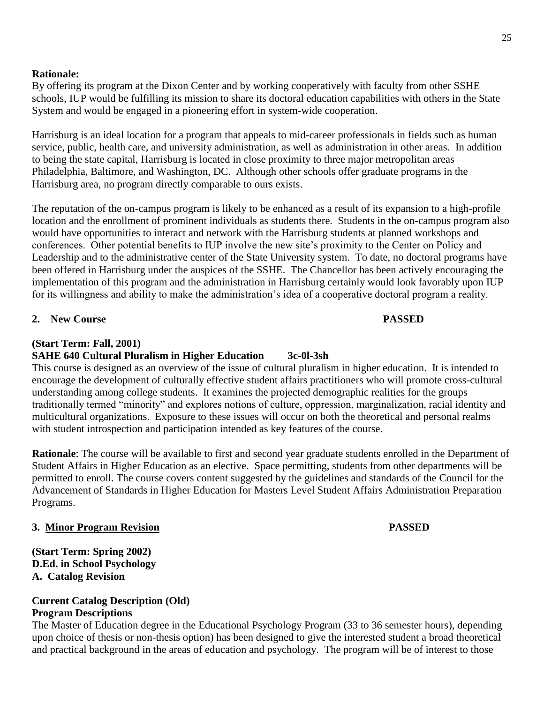#### **Rationale:**

By offering its program at the Dixon Center and by working cooperatively with faculty from other SSHE schools, IUP would be fulfilling its mission to share its doctoral education capabilities with others in the State System and would be engaged in a pioneering effort in system-wide cooperation.

Harrisburg is an ideal location for a program that appeals to mid-career professionals in fields such as human service, public, health care, and university administration, as well as administration in other areas. In addition to being the state capital, Harrisburg is located in close proximity to three major metropolitan areas— Philadelphia, Baltimore, and Washington, DC. Although other schools offer graduate programs in the Harrisburg area, no program directly comparable to ours exists.

The reputation of the on-campus program is likely to be enhanced as a result of its expansion to a high-profile location and the enrollment of prominent individuals as students there. Students in the on-campus program also would have opportunities to interact and network with the Harrisburg students at planned workshops and conferences. Other potential benefits to IUP involve the new site's proximity to the Center on Policy and Leadership and to the administrative center of the State University system. To date, no doctoral programs have been offered in Harrisburg under the auspices of the SSHE. The Chancellor has been actively encouraging the implementation of this program and the administration in Harrisburg certainly would look favorably upon IUP for its willingness and ability to make the administration's idea of a cooperative doctoral program a reality.

#### **2. New Course PASSED**

#### **(Start Term: Fall, 2001)**

#### **SAHE 640 Cultural Pluralism in Higher Education 3c-0l-3sh**

This course is designed as an overview of the issue of cultural pluralism in higher education. It is intended to encourage the development of culturally effective student affairs practitioners who will promote cross-cultural understanding among college students. It examines the projected demographic realities for the groups traditionally termed "minority" and explores notions of culture, oppression, marginalization, racial identity and multicultural organizations. Exposure to these issues will occur on both the theoretical and personal realms with student introspection and participation intended as key features of the course.

**Rationale**: The course will be available to first and second year graduate students enrolled in the Department of Student Affairs in Higher Education as an elective. Space permitting, students from other departments will be permitted to enroll. The course covers content suggested by the guidelines and standards of the Council for the Advancement of Standards in Higher Education for Masters Level Student Affairs Administration Preparation Programs.

#### **3. Minor Program Revision PASSED**

**(Start Term: Spring 2002) D.Ed. in School Psychology A. Catalog Revision**

#### **Current Catalog Description (Old) Program Descriptions**

The Master of Education degree in the Educational Psychology Program (33 to 36 semester hours), depending upon choice of thesis or non-thesis option) has been designed to give the interested student a broad theoretical and practical background in the areas of education and psychology. The program will be of interest to those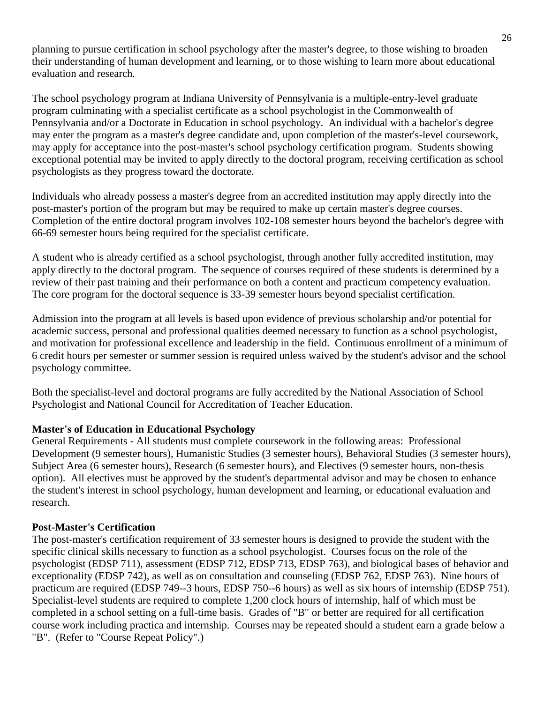planning to pursue certification in school psychology after the master's degree, to those wishing to broaden their understanding of human development and learning, or to those wishing to learn more about educational evaluation and research.

The school psychology program at Indiana University of Pennsylvania is a multiple-entry-level graduate program culminating with a specialist certificate as a school psychologist in the Commonwealth of Pennsylvania and/or a Doctorate in Education in school psychology. An individual with a bachelor's degree may enter the program as a master's degree candidate and, upon completion of the master's-level coursework, may apply for acceptance into the post-master's school psychology certification program. Students showing exceptional potential may be invited to apply directly to the doctoral program, receiving certification as school psychologists as they progress toward the doctorate.

Individuals who already possess a master's degree from an accredited institution may apply directly into the post-master's portion of the program but may be required to make up certain master's degree courses. Completion of the entire doctoral program involves 102-108 semester hours beyond the bachelor's degree with 66-69 semester hours being required for the specialist certificate.

A student who is already certified as a school psychologist, through another fully accredited institution, may apply directly to the doctoral program. The sequence of courses required of these students is determined by a review of their past training and their performance on both a content and practicum competency evaluation. The core program for the doctoral sequence is 33-39 semester hours beyond specialist certification.

Admission into the program at all levels is based upon evidence of previous scholarship and/or potential for academic success, personal and professional qualities deemed necessary to function as a school psychologist, and motivation for professional excellence and leadership in the field. Continuous enrollment of a minimum of 6 credit hours per semester or summer session is required unless waived by the student's advisor and the school psychology committee.

Both the specialist-level and doctoral programs are fully accredited by the National Association of School Psychologist and National Council for Accreditation of Teacher Education.

## **Master's of Education in Educational Psychology**

General Requirements - All students must complete coursework in the following areas: Professional Development (9 semester hours), Humanistic Studies (3 semester hours), Behavioral Studies (3 semester hours), Subject Area (6 semester hours), Research (6 semester hours), and Electives (9 semester hours, non-thesis option). All electives must be approved by the student's departmental advisor and may be chosen to enhance the student's interest in school psychology, human development and learning, or educational evaluation and research.

## **Post-Master's Certification**

The post-master's certification requirement of 33 semester hours is designed to provide the student with the specific clinical skills necessary to function as a school psychologist. Courses focus on the role of the psychologist (EDSP 711), assessment (EDSP 712, EDSP 713, EDSP 763), and biological bases of behavior and exceptionality (EDSP 742), as well as on consultation and counseling (EDSP 762, EDSP 763). Nine hours of practicum are required (EDSP 749--3 hours, EDSP 750--6 hours) as well as six hours of internship (EDSP 751). Specialist-level students are required to complete 1,200 clock hours of internship, half of which must be completed in a school setting on a full-time basis. Grades of "B" or better are required for all certification course work including practica and internship. Courses may be repeated should a student earn a grade below a "B". (Refer to "Course Repeat Policy".)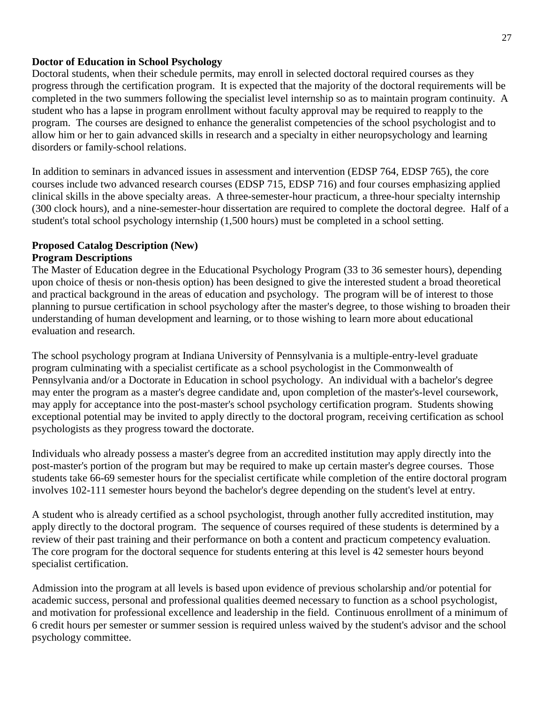#### **Doctor of Education in School Psychology**

Doctoral students, when their schedule permits, may enroll in selected doctoral required courses as they progress through the certification program. It is expected that the majority of the doctoral requirements will be completed in the two summers following the specialist level internship so as to maintain program continuity. A student who has a lapse in program enrollment without faculty approval may be required to reapply to the program. The courses are designed to enhance the generalist competencies of the school psychologist and to allow him or her to gain advanced skills in research and a specialty in either neuropsychology and learning disorders or family-school relations.

In addition to seminars in advanced issues in assessment and intervention (EDSP 764, EDSP 765), the core courses include two advanced research courses (EDSP 715, EDSP 716) and four courses emphasizing applied clinical skills in the above specialty areas. A three-semester-hour practicum, a three-hour specialty internship (300 clock hours), and a nine-semester-hour dissertation are required to complete the doctoral degree. Half of a student's total school psychology internship (1,500 hours) must be completed in a school setting.

# **Proposed Catalog Description (New)**

### **Program Descriptions**

The Master of Education degree in the Educational Psychology Program (33 to 36 semester hours), depending upon choice of thesis or non-thesis option) has been designed to give the interested student a broad theoretical and practical background in the areas of education and psychology. The program will be of interest to those planning to pursue certification in school psychology after the master's degree, to those wishing to broaden their understanding of human development and learning, or to those wishing to learn more about educational evaluation and research.

The school psychology program at Indiana University of Pennsylvania is a multiple-entry-level graduate program culminating with a specialist certificate as a school psychologist in the Commonwealth of Pennsylvania and/or a Doctorate in Education in school psychology. An individual with a bachelor's degree may enter the program as a master's degree candidate and, upon completion of the master's-level coursework, may apply for acceptance into the post-master's school psychology certification program. Students showing exceptional potential may be invited to apply directly to the doctoral program, receiving certification as school psychologists as they progress toward the doctorate.

Individuals who already possess a master's degree from an accredited institution may apply directly into the post-master's portion of the program but may be required to make up certain master's degree courses. Those students take 66-69 semester hours for the specialist certificate while completion of the entire doctoral program involves 102-111 semester hours beyond the bachelor's degree depending on the student's level at entry.

A student who is already certified as a school psychologist, through another fully accredited institution, may apply directly to the doctoral program. The sequence of courses required of these students is determined by a review of their past training and their performance on both a content and practicum competency evaluation. The core program for the doctoral sequence for students entering at this level is 42 semester hours beyond specialist certification.

Admission into the program at all levels is based upon evidence of previous scholarship and/or potential for academic success, personal and professional qualities deemed necessary to function as a school psychologist, and motivation for professional excellence and leadership in the field. Continuous enrollment of a minimum of 6 credit hours per semester or summer session is required unless waived by the student's advisor and the school psychology committee.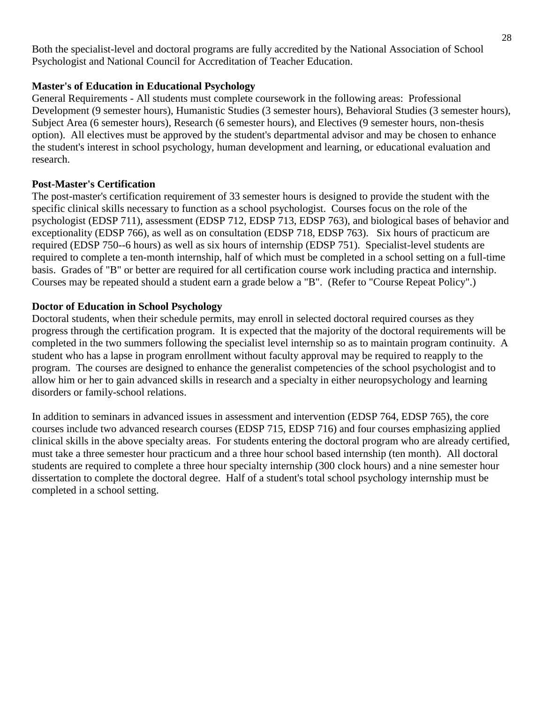Both the specialist-level and doctoral programs are fully accredited by the National Association of School Psychologist and National Council for Accreditation of Teacher Education.

# **Master's of Education in Educational Psychology**

General Requirements - All students must complete coursework in the following areas: Professional Development (9 semester hours), Humanistic Studies (3 semester hours), Behavioral Studies (3 semester hours), Subject Area (6 semester hours), Research (6 semester hours), and Electives (9 semester hours, non-thesis option). All electives must be approved by the student's departmental advisor and may be chosen to enhance the student's interest in school psychology, human development and learning, or educational evaluation and research.

## **Post-Master's Certification**

The post-master's certification requirement of 33 semester hours is designed to provide the student with the specific clinical skills necessary to function as a school psychologist. Courses focus on the role of the psychologist (EDSP 711), assessment (EDSP 712, EDSP 713, EDSP 763), and biological bases of behavior and exceptionality (EDSP 766), as well as on consultation (EDSP 718, EDSP 763). Six hours of practicum are required (EDSP 750--6 hours) as well as six hours of internship (EDSP 751). Specialist-level students are required to complete a ten-month internship, half of which must be completed in a school setting on a full-time basis. Grades of "B" or better are required for all certification course work including practica and internship. Courses may be repeated should a student earn a grade below a "B". (Refer to "Course Repeat Policy".)

# **Doctor of Education in School Psychology**

Doctoral students, when their schedule permits, may enroll in selected doctoral required courses as they progress through the certification program. It is expected that the majority of the doctoral requirements will be completed in the two summers following the specialist level internship so as to maintain program continuity. A student who has a lapse in program enrollment without faculty approval may be required to reapply to the program. The courses are designed to enhance the generalist competencies of the school psychologist and to allow him or her to gain advanced skills in research and a specialty in either neuropsychology and learning disorders or family-school relations.

In addition to seminars in advanced issues in assessment and intervention (EDSP 764, EDSP 765), the core courses include two advanced research courses (EDSP 715, EDSP 716) and four courses emphasizing applied clinical skills in the above specialty areas. For students entering the doctoral program who are already certified, must take a three semester hour practicum and a three hour school based internship (ten month). All doctoral students are required to complete a three hour specialty internship (300 clock hours) and a nine semester hour dissertation to complete the doctoral degree. Half of a student's total school psychology internship must be completed in a school setting.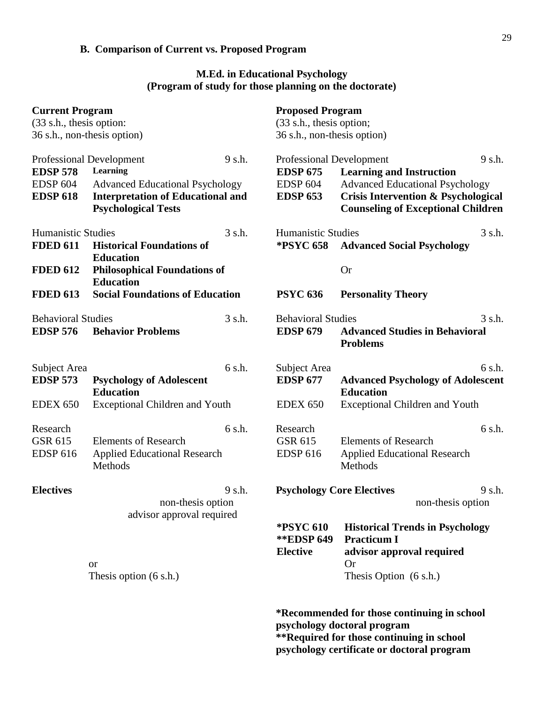# **B. Comparison of Current vs. Proposed Program**

### **M.Ed. in Educational Psychology (Program of study for those planning on the doctorate)**

| <b>Current Program</b><br>(33 s.h., thesis option:<br>36 s.h., non-thesis option)        |                                                                                                                              |        | <b>Proposed Program</b><br>(33 s.h., thesis option;<br>36 s.h., non-thesis option)       |                                                                                                                                                                          |                  |
|------------------------------------------------------------------------------------------|------------------------------------------------------------------------------------------------------------------------------|--------|------------------------------------------------------------------------------------------|--------------------------------------------------------------------------------------------------------------------------------------------------------------------------|------------------|
| <b>Professional Development</b><br><b>EDSP 578</b><br><b>EDSP 604</b><br><b>EDSP 618</b> | Learning<br><b>Advanced Educational Psychology</b><br><b>Interpretation of Educational and</b><br><b>Psychological Tests</b> | 9 s.h. | <b>Professional Development</b><br><b>EDSP 675</b><br><b>EDSP 604</b><br><b>EDSP 653</b> | <b>Learning and Instruction</b><br><b>Advanced Educational Psychology</b><br><b>Crisis Intervention &amp; Psychological</b><br><b>Counseling of Exceptional Children</b> | $9 \text{ s.h.}$ |
| <b>Humanistic Studies</b><br><b>FDED 611</b>                                             | <b>Historical Foundations of</b><br><b>Education</b>                                                                         | 3 s.h. | <b>Humanistic Studies</b><br><b>*PSYC 658</b>                                            | <b>Advanced Social Psychology</b>                                                                                                                                        | 3 s.h.           |
| <b>FDED 612</b><br><b>FDED 613</b>                                                       | <b>Philosophical Foundations of</b><br><b>Education</b><br><b>Social Foundations of Education</b>                            |        |                                                                                          | <b>Or</b>                                                                                                                                                                |                  |
|                                                                                          |                                                                                                                              |        | <b>PSYC 636</b>                                                                          | <b>Personality Theory</b>                                                                                                                                                |                  |
| <b>Behavioral Studies</b><br><b>EDSP 576</b>                                             | <b>Behavior Problems</b>                                                                                                     | 3 s.h. | <b>Behavioral Studies</b><br><b>EDSP 679</b>                                             | <b>Advanced Studies in Behavioral</b><br><b>Problems</b>                                                                                                                 | 3 s.h.           |
| Subject Area<br><b>EDSP 573</b><br><b>EDEX 650</b>                                       | <b>Psychology of Adolescent</b><br><b>Education</b><br><b>Exceptional Children and Youth</b>                                 | 6 s.h. | Subject Area<br><b>EDSP 677</b><br><b>EDEX 650</b>                                       | <b>Advanced Psychology of Adolescent</b><br><b>Education</b><br><b>Exceptional Children and Youth</b>                                                                    | 6 s.h.           |
| Research<br>GSR 615<br><b>EDSP 616</b>                                                   | <b>Elements of Research</b><br><b>Applied Educational Research</b><br>Methods                                                | 6 s.h. | Research<br>GSR 615<br><b>EDSP 616</b>                                                   | <b>Elements of Research</b><br><b>Applied Educational Research</b><br>Methods                                                                                            | 6 s.h.           |
| <b>Electives</b>                                                                         | non-thesis option<br>advisor approval required                                                                               | 9 s.h. | <b>Psychology Core Electives</b>                                                         | non-thesis option                                                                                                                                                        | 9 s.h.           |
|                                                                                          | <b>or</b><br>Thesis option $(6 s.h.)$                                                                                        |        | <b>*PSYC 610</b><br><b>**EDSP 649</b><br><b>Elective</b>                                 | <b>Historical Trends in Psychology</b><br><b>Practicum I</b><br>advisor approval required<br><b>Or</b><br>Thesis Option (6 s.h.)                                         |                  |
|                                                                                          |                                                                                                                              |        |                                                                                          | *Recommended for those continuing in school<br>psychology doctoral program                                                                                               |                  |

**\*\*Required for those continuing in school psychology certificate or doctoral program**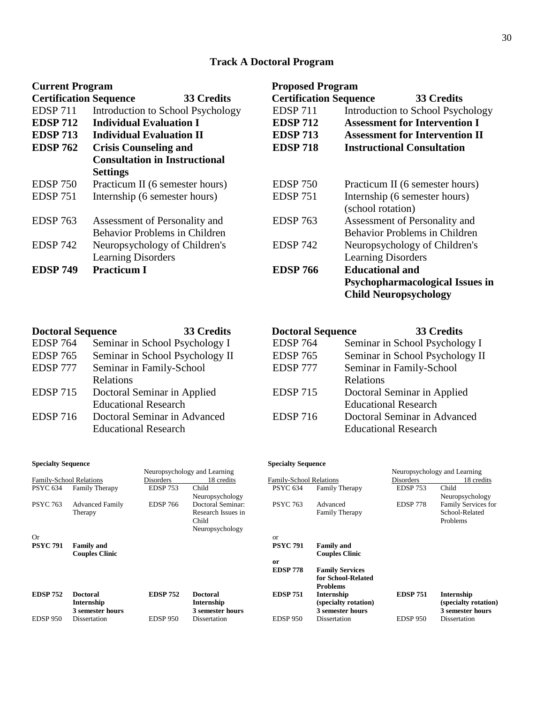# **Track A Doctoral Program**

| <b>Current Program</b>        |                                      | <b>Proposed Program</b>       |                                        |  |  |
|-------------------------------|--------------------------------------|-------------------------------|----------------------------------------|--|--|
| <b>Certification Sequence</b> | 33 Credits                           | <b>Certification Sequence</b> | 33 Credits                             |  |  |
| <b>EDSP 711</b>               | Introduction to School Psychology    | <b>EDSP 711</b>               | Introduction to School Psychology      |  |  |
| <b>EDSP 712</b>               | <b>Individual Evaluation I</b>       | <b>EDSP 712</b>               | <b>Assessment for Intervention I</b>   |  |  |
| <b>EDSP 713</b>               | <b>Individual Evaluation II</b>      | <b>EDSP 713</b>               | <b>Assessment for Intervention II</b>  |  |  |
| <b>EDSP 762</b>               | <b>Crisis Counseling and</b>         | <b>EDSP 718</b>               | <b>Instructional Consultation</b>      |  |  |
|                               | <b>Consultation in Instructional</b> |                               |                                        |  |  |
|                               | <b>Settings</b>                      |                               |                                        |  |  |
| <b>EDSP 750</b>               | Practicum II (6 semester hours)      | <b>EDSP 750</b>               | Practicum II (6 semester hours)        |  |  |
| <b>EDSP 751</b>               | Internship (6 semester hours)        | <b>EDSP 751</b>               | Internship (6 semester hours)          |  |  |
|                               |                                      |                               | (school rotation)                      |  |  |
| <b>EDSP 763</b>               | Assessment of Personality and        | <b>EDSP 763</b>               | Assessment of Personality and          |  |  |
|                               | <b>Behavior Problems in Children</b> |                               | <b>Behavior Problems in Children</b>   |  |  |
| <b>EDSP 742</b>               | Neuropsychology of Children's        | <b>EDSP 742</b>               | Neuropsychology of Children's          |  |  |
|                               | <b>Learning Disorders</b>            |                               | <b>Learning Disorders</b>              |  |  |
| <b>EDSP 749</b>               | <b>Practicum I</b>                   | <b>EDSP 766</b>               | <b>Educational and</b>                 |  |  |
|                               |                                      |                               | <b>Psychopharmacological Issues in</b> |  |  |
|                               |                                      |                               | <b>Child Neuropsychology</b>           |  |  |

| <b>Doctoral Sequence</b> | 33 Credits                      | <b>Doctoral Sequence</b> | 33 Credits                      |
|--------------------------|---------------------------------|--------------------------|---------------------------------|
| <b>EDSP 764</b>          | Seminar in School Psychology I  | <b>EDSP 764</b>          | Seminar in School Psychology I  |
| <b>EDSP 765</b>          | Seminar in School Psychology II | <b>EDSP 765</b>          | Seminar in School Psychology II |
| EDSP 777                 | Seminar in Family-School        | EDSP 777                 | Seminar in Family-School        |
|                          | <b>Relations</b>                |                          | Relations                       |
| <b>EDSP 715</b>          | Doctoral Seminar in Applied     | <b>EDSP 715</b>          | Doctoral Seminar in Applied     |
|                          | <b>Educational Research</b>     |                          | <b>Educational Research</b>     |
| <b>EDSP 716</b>          | Doctoral Seminar in Advanced    | <b>EDSP 716</b>          | Doctoral Seminar in Advanced    |
|                          | <b>Educational Research</b>     |                          | <b>Educational Research</b>     |

| <b>Specialty Sequence</b>    |                        |                 | <b>Specialty Sequence</b> |                                |                        |                              |                      |
|------------------------------|------------------------|-----------------|---------------------------|--------------------------------|------------------------|------------------------------|----------------------|
| Neuropsychology and Learning |                        |                 |                           |                                |                        | Neuropsychology and Learning |                      |
| Family-School Relations      |                        | Disorders       | 18 credits                | <b>Family-School Relations</b> |                        | Disorders                    | 18 credits           |
| <b>PSYC 634</b>              | <b>Family Therapy</b>  | <b>EDSP 753</b> | Child                     | <b>PSYC 634</b>                | <b>Family Therapy</b>  | <b>EDSP 753</b>              | Child                |
|                              |                        |                 | Neuropsychology           |                                |                        |                              | Neuropsychology      |
| <b>PSYC 763</b>              | <b>Advanced Family</b> | <b>EDSP 766</b> | Doctoral Seminar:         | <b>PSYC 763</b>                | Advanced               | <b>EDSP 778</b>              | Family Services for  |
|                              | Therapy                |                 | Research Issues in        |                                | <b>Family Therapy</b>  |                              | School-Related       |
|                              |                        |                 | Child                     |                                |                        |                              | Problems             |
|                              |                        |                 | Neuropsychology           |                                |                        |                              |                      |
| Or                           |                        |                 |                           | or                             |                        |                              |                      |
| <b>PSYC 791</b>              | <b>Family and</b>      |                 |                           | <b>PSYC 791</b>                | <b>Family and</b>      |                              |                      |
|                              | <b>Couples Clinic</b>  |                 |                           |                                | <b>Couples Clinic</b>  |                              |                      |
|                              |                        |                 |                           | <sub>or</sub>                  |                        |                              |                      |
|                              |                        |                 |                           | <b>EDSP 778</b>                | <b>Family Services</b> |                              |                      |
|                              |                        |                 |                           |                                | for School-Related     |                              |                      |
|                              |                        |                 |                           |                                | <b>Problems</b>        |                              |                      |
| <b>EDSP 752</b>              | <b>Doctoral</b>        | <b>EDSP 752</b> | <b>Doctoral</b>           | <b>EDSP 751</b>                | Internship             | <b>EDSP 751</b>              | Internship           |
|                              | Internship             |                 | Internship                |                                | (specialty rotation)   |                              | (specialty rotation) |
|                              | 3 semester hours       |                 | 3 semester hours          |                                | 3 semester hours       |                              | 3 semester hours     |
| <b>EDSP 950</b>              | Dissertation           | <b>EDSP 950</b> | Dissertation              | <b>EDSP 950</b>                | Dissertation           | <b>EDSP 950</b>              | Dissertation         |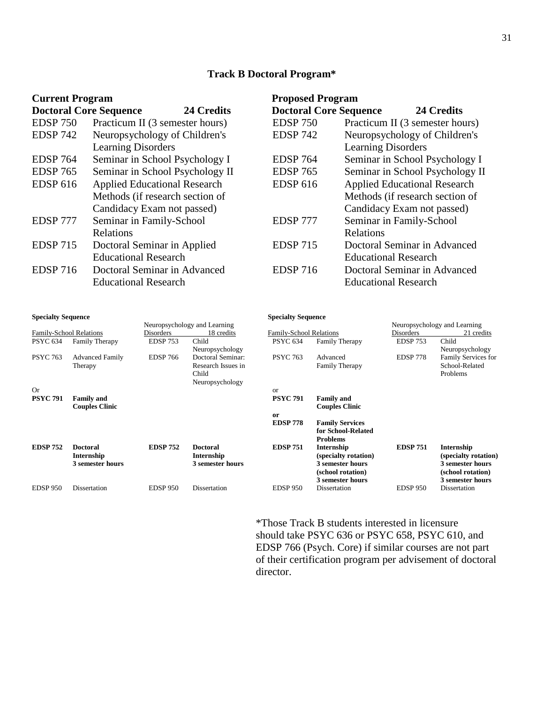#### **Track B Doctoral Program\***

| <b>Current Program</b>        |                                     | <b>Proposed Program</b> |                               |                                     |                                 |
|-------------------------------|-------------------------------------|-------------------------|-------------------------------|-------------------------------------|---------------------------------|
| <b>Doctoral Core Sequence</b> | 24 Credits                          |                         | <b>Doctoral Core Sequence</b> |                                     | 24 Credits                      |
| <b>EDSP 750</b>               | Practicum II (3 semester hours)     |                         | <b>EDSP 750</b>               |                                     | Practicum II (3 semester hours) |
| <b>EDSP 742</b>               | Neuropsychology of Children's       |                         | <b>EDSP 742</b>               |                                     | Neuropsychology of Children's   |
|                               | <b>Learning Disorders</b>           |                         |                               | <b>Learning Disorders</b>           |                                 |
| <b>EDSP 764</b>               | Seminar in School Psychology I      |                         | <b>EDSP 764</b>               |                                     | Seminar in School Psychology I  |
| <b>EDSP 765</b>               | Seminar in School Psychology II     |                         | <b>EDSP 765</b>               |                                     | Seminar in School Psychology II |
| <b>EDSP 616</b>               | <b>Applied Educational Research</b> |                         | <b>EDSP 616</b>               | <b>Applied Educational Research</b> |                                 |
|                               | Methods (if research section of     |                         |                               |                                     | Methods (if research section of |
|                               | Candidacy Exam not passed)          |                         |                               | Candidacy Exam not passed)          |                                 |
| EDSP 777                      | Seminar in Family-School            |                         | EDSP 777                      | Seminar in Family-School            |                                 |
|                               | Relations                           |                         |                               | Relations                           |                                 |
| <b>EDSP 715</b>               | Doctoral Seminar in Applied         |                         | <b>EDSP 715</b>               |                                     | Doctoral Seminar in Advanced    |
|                               | <b>Educational Research</b>         |                         |                               | <b>Educational Research</b>         |                                 |
| <b>EDSP 716</b>               | Doctoral Seminar in Advanced        |                         | <b>EDSP 716</b>               |                                     | Doctoral Seminar in Advanced    |
|                               | <b>Educational Research</b>         |                         |                               | <b>Educational Research</b>         |                                 |

#### **Specialty Sequence Specialty Sequence**

#### Neuropsychology and Learning<br>
<u>Disorders</u> 18 credits<br>
Ramily-School Relations<br>
Disorders<br>
21 credits<br>
22 credits Family-School Relations Disorders 18 credits Family-School Relations Disorders 21 credits Family-School Relations<br>PSYC 634 Family The Neuropsychology PSYC 634 Family Therapy Neuropsychology PSYC 763 Advanced Family **Therapy** EDSP 766 Doctoral Seminar: Research Issues in Child Neuropsychology PSYC 763 Advanced Family Therapy EDSP 778 Family Services for School-Related Problems Or or **PSYC 791 Family and Couples Clinic PSYC 791 Family and Couples Clinic or Family Services for School-Related Problems EDSP 752 Doctoral Internship 3 semester hours EDSP 752 Doctoral Internship 3 semester hours EDSP 751 Internship (specialty rotation) 3 semester hours (school rotation) 3 semester hours EDSP 751 Internship (specialty rotation) 3 semester hours (school rotation) 3 semester hours** EDSP 950 Dissertation EDSP 950 Dissertation EDSP 950 Dissertation EDSP 950 Dissertation

\*Those Track B students interested in licensure should take PSYC 636 or PSYC 658, PSYC 610, and EDSP 766 (Psych. Core) if similar courses are not part of their certification program per advisement of doctoral director.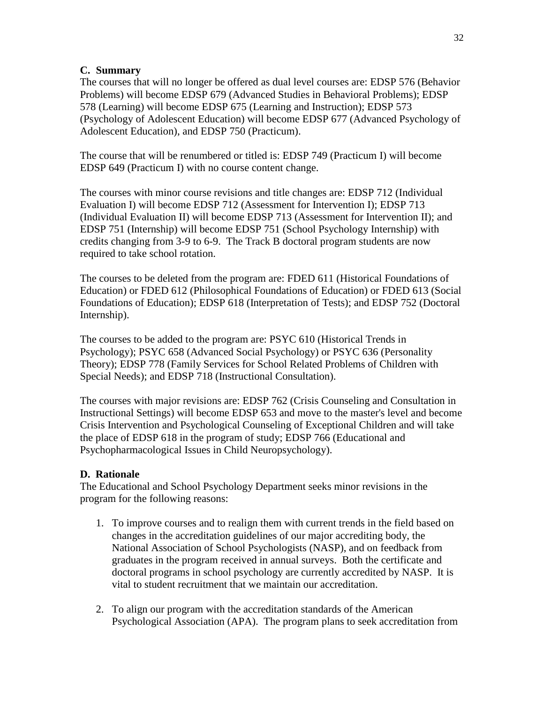#### **C. Summary**

The courses that will no longer be offered as dual level courses are: EDSP 576 (Behavior Problems) will become EDSP 679 (Advanced Studies in Behavioral Problems); EDSP 578 (Learning) will become EDSP 675 (Learning and Instruction); EDSP 573 (Psychology of Adolescent Education) will become EDSP 677 (Advanced Psychology of Adolescent Education), and EDSP 750 (Practicum).

The course that will be renumbered or titled is: EDSP 749 (Practicum I) will become EDSP 649 (Practicum I) with no course content change.

The courses with minor course revisions and title changes are: EDSP 712 (Individual Evaluation I) will become EDSP 712 (Assessment for Intervention I); EDSP 713 (Individual Evaluation II) will become EDSP 713 (Assessment for Intervention II); and EDSP 751 (Internship) will become EDSP 751 (School Psychology Internship) with credits changing from 3-9 to 6-9. The Track B doctoral program students are now required to take school rotation.

The courses to be deleted from the program are: FDED 611 (Historical Foundations of Education) or FDED 612 (Philosophical Foundations of Education) or FDED 613 (Social Foundations of Education); EDSP 618 (Interpretation of Tests); and EDSP 752 (Doctoral Internship).

The courses to be added to the program are: PSYC 610 (Historical Trends in Psychology); PSYC 658 (Advanced Social Psychology) or PSYC 636 (Personality Theory); EDSP 778 (Family Services for School Related Problems of Children with Special Needs); and EDSP 718 (Instructional Consultation).

The courses with major revisions are: EDSP 762 (Crisis Counseling and Consultation in Instructional Settings) will become EDSP 653 and move to the master's level and become Crisis Intervention and Psychological Counseling of Exceptional Children and will take the place of EDSP 618 in the program of study; EDSP 766 (Educational and Psychopharmacological Issues in Child Neuropsychology).

#### **D. Rationale**

The Educational and School Psychology Department seeks minor revisions in the program for the following reasons:

- 1. To improve courses and to realign them with current trends in the field based on changes in the accreditation guidelines of our major accrediting body, the National Association of School Psychologists (NASP), and on feedback from graduates in the program received in annual surveys. Both the certificate and doctoral programs in school psychology are currently accredited by NASP. It is vital to student recruitment that we maintain our accreditation.
- 2. To align our program with the accreditation standards of the American Psychological Association (APA). The program plans to seek accreditation from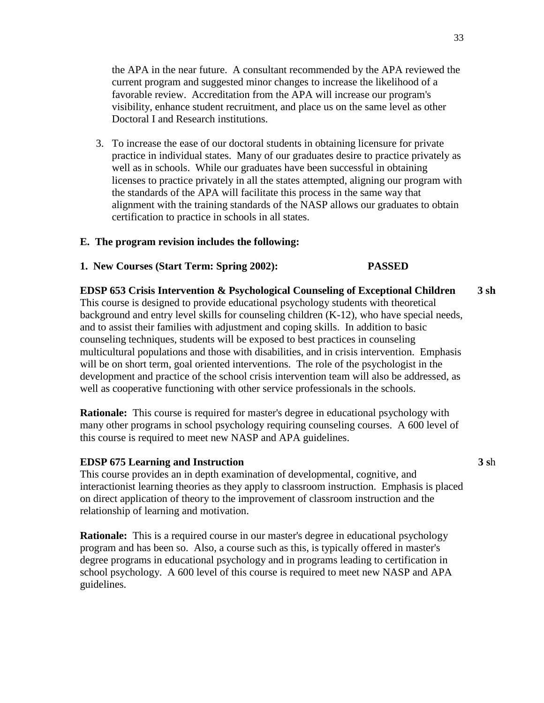the APA in the near future. A consultant recommended by the APA reviewed the current program and suggested minor changes to increase the likelihood of a favorable review. Accreditation from the APA will increase our program's visibility, enhance student recruitment, and place us on the same level as other Doctoral I and Research institutions.

3. To increase the ease of our doctoral students in obtaining licensure for private practice in individual states. Many of our graduates desire to practice privately as well as in schools. While our graduates have been successful in obtaining licenses to practice privately in all the states attempted, aligning our program with the standards of the APA will facilitate this process in the same way that alignment with the training standards of the NASP allows our graduates to obtain certification to practice in schools in all states.

#### **E. The program revision includes the following:**

#### **1. New Courses (Start Term: Spring 2002): PASSED**

**EDSP 653 Crisis Intervention & Psychological Counseling of Exceptional Children 3 sh** This course is designed to provide educational psychology students with theoretical background and entry level skills for counseling children (K-12), who have special needs, and to assist their families with adjustment and coping skills. In addition to basic counseling techniques, students will be exposed to best practices in counseling multicultural populations and those with disabilities, and in crisis intervention. Emphasis will be on short term, goal oriented interventions. The role of the psychologist in the development and practice of the school crisis intervention team will also be addressed, as well as cooperative functioning with other service professionals in the schools.

**Rationale:** This course is required for master's degree in educational psychology with many other programs in school psychology requiring counseling courses. A 600 level of this course is required to meet new NASP and APA guidelines.

#### **EDSP 675 Learning and Instruction 3 s**h

This course provides an in depth examination of developmental, cognitive, and interactionist learning theories as they apply to classroom instruction. Emphasis is placed on direct application of theory to the improvement of classroom instruction and the relationship of learning and motivation.

**Rationale:** This is a required course in our master's degree in educational psychology program and has been so. Also, a course such as this, is typically offered in master's degree programs in educational psychology and in programs leading to certification in school psychology. A 600 level of this course is required to meet new NASP and APA guidelines.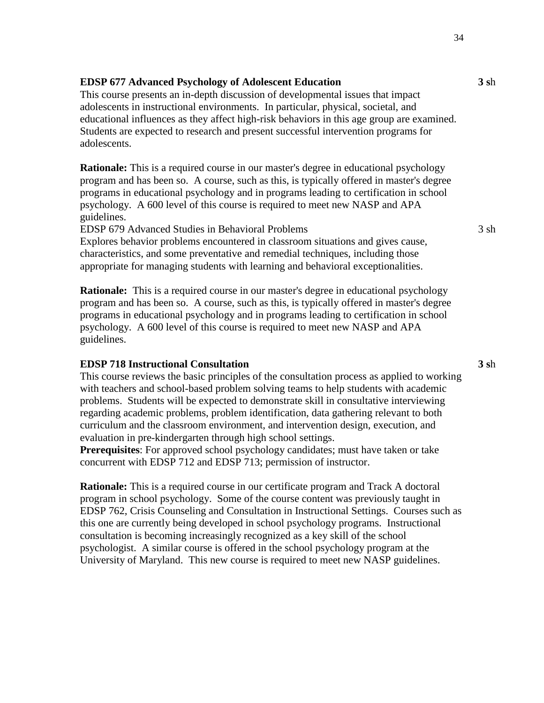**EDSP 677 Advanced Psychology of Adolescent Education 3 s**h

This course presents an in-depth discussion of developmental issues that impact adolescents in instructional environments. In particular, physical, societal, and educational influences as they affect high-risk behaviors in this age group are examined. Students are expected to research and present successful intervention programs for adolescents.

**Rationale:** This is a required course in our master's degree in educational psychology program and has been so. A course, such as this, is typically offered in master's degree programs in educational psychology and in programs leading to certification in school psychology. A 600 level of this course is required to meet new NASP and APA guidelines.

EDSP 679 Advanced Studies in Behavioral Problems 3 sh

Explores behavior problems encountered in classroom situations and gives cause, characteristics, and some preventative and remedial techniques, including those appropriate for managing students with learning and behavioral exceptionalities.

**Rationale:** This is a required course in our master's degree in educational psychology program and has been so. A course, such as this, is typically offered in master's degree programs in educational psychology and in programs leading to certification in school psychology. A 600 level of this course is required to meet new NASP and APA guidelines.

#### **EDSP 718 Instructional Consultation 3 s**h

This course reviews the basic principles of the consultation process as applied to working with teachers and school-based problem solving teams to help students with academic problems. Students will be expected to demonstrate skill in consultative interviewing regarding academic problems, problem identification, data gathering relevant to both curriculum and the classroom environment, and intervention design, execution, and evaluation in pre-kindergarten through high school settings.

**Prerequisites**: For approved school psychology candidates; must have taken or take concurrent with EDSP 712 and EDSP 713; permission of instructor.

**Rationale:** This is a required course in our certificate program and Track A doctoral program in school psychology. Some of the course content was previously taught in EDSP 762, Crisis Counseling and Consultation in Instructional Settings. Courses such as this one are currently being developed in school psychology programs. Instructional consultation is becoming increasingly recognized as a key skill of the school psychologist. A similar course is offered in the school psychology program at the University of Maryland. This new course is required to meet new NASP guidelines.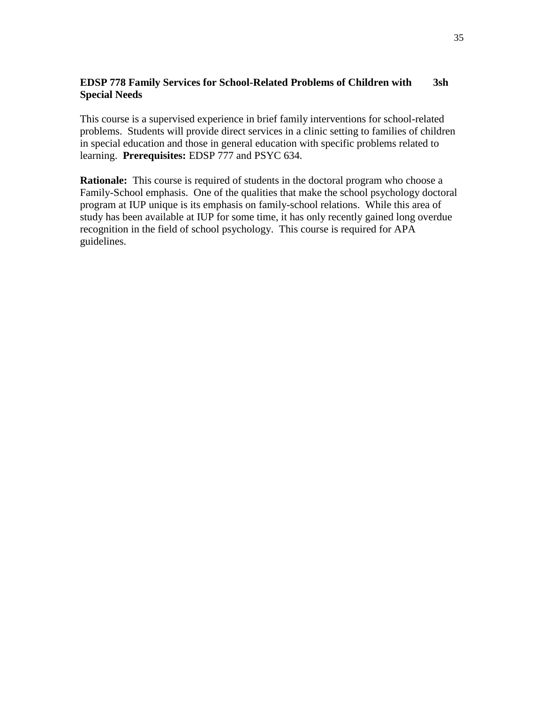### **EDSP 778 Family Services for School-Related Problems of Children with 3sh Special Needs**

This course is a supervised experience in brief family interventions for school-related problems. Students will provide direct services in a clinic setting to families of children in special education and those in general education with specific problems related to learning. **Prerequisites:** EDSP 777 and PSYC 634.

**Rationale:** This course is required of students in the doctoral program who choose a Family-School emphasis. One of the qualities that make the school psychology doctoral program at IUP unique is its emphasis on family-school relations. While this area of study has been available at IUP for some time, it has only recently gained long overdue recognition in the field of school psychology. This course is required for APA guidelines.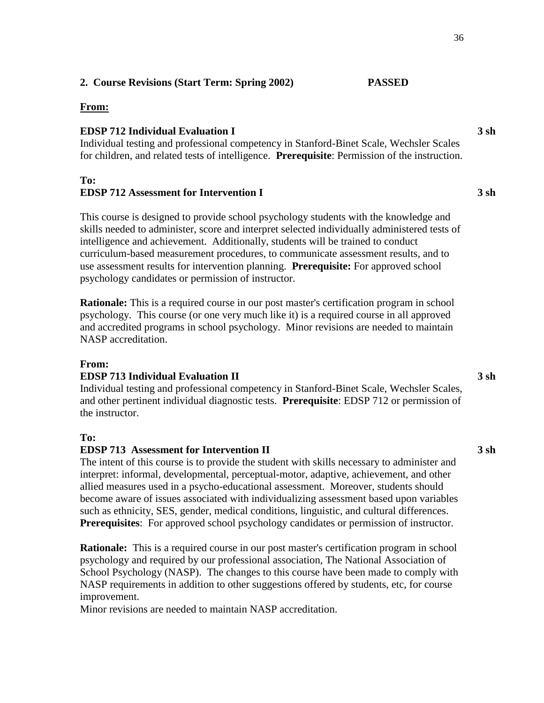# **2. Course Revisions (Start Term: Spring 2002) PASSED**

#### **From:**

#### **EDSP 712 Individual Evaluation I 3 sh**

Individual testing and professional competency in Stanford-Binet Scale, Wechsler Scales for children, and related tests of intelligence. **Prerequisite**: Permission of the instruction.

#### **To:**

## **EDSP 712 Assessment for Intervention I 3 sh**

This course is designed to provide school psychology students with the knowledge and skills needed to administer, score and interpret selected individually administered tests of intelligence and achievement. Additionally, students will be trained to conduct curriculum-based measurement procedures, to communicate assessment results, and to use assessment results for intervention planning. **Prerequisite:** For approved school psychology candidates or permission of instructor.

**Rationale:** This is a required course in our post master's certification program in school psychology. This course (or one very much like it) is a required course in all approved and accredited programs in school psychology. Minor revisions are needed to maintain NASP accreditation.

#### **From:**

#### **EDSP 713 Individual Evaluation II 3 sh**

Individual testing and professional competency in Stanford-Binet Scale, Wechsler Scales, and other pertinent individual diagnostic tests. **Prerequisite**: EDSP 712 or permission of the instructor.

#### **To:**

#### **EDSP 713 Assessment for Intervention II 3 sh**

The intent of this course is to provide the student with skills necessary to administer and interpret: informal, developmental, perceptual-motor, adaptive, achievement, and other allied measures used in a psycho-educational assessment. Moreover, students should become aware of issues associated with individualizing assessment based upon variables such as ethnicity, SES, gender, medical conditions, linguistic, and cultural differences. **Prerequisites:** For approved school psychology candidates or permission of instructor.

**Rationale:** This is a required course in our post master's certification program in school psychology and required by our professional association, The National Association of School Psychology (NASP). The changes to this course have been made to comply with NASP requirements in addition to other suggestions offered by students, etc, for course improvement.

Minor revisions are needed to maintain NASP accreditation.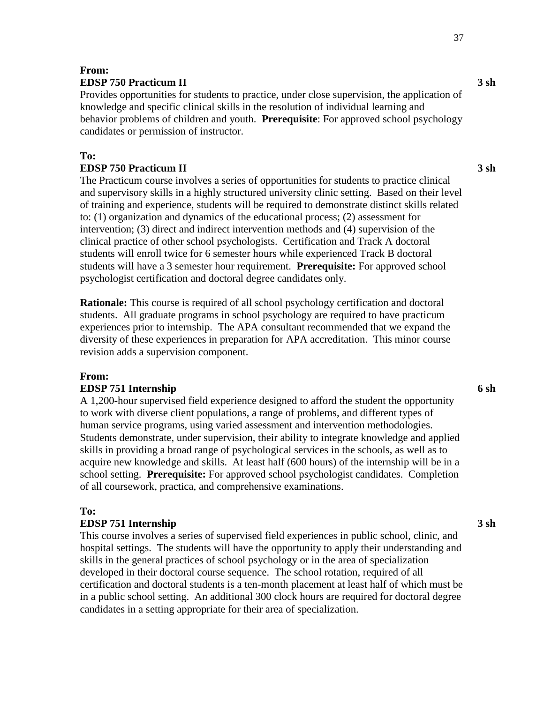#### **From: EDSP 750 Practicum II 3 sh**

Provides opportunities for students to practice, under close supervision, the application of knowledge and specific clinical skills in the resolution of individual learning and behavior problems of children and youth. **Prerequisite**: For approved school psychology candidates or permission of instructor.

## **To:**

# **EDSP 750 Practicum II 3 sh**

The Practicum course involves a series of opportunities for students to practice clinical and supervisory skills in a highly structured university clinic setting. Based on their level of training and experience, students will be required to demonstrate distinct skills related to: (1) organization and dynamics of the educational process; (2) assessment for intervention; (3) direct and indirect intervention methods and (4) supervision of the clinical practice of other school psychologists. Certification and Track A doctoral students will enroll twice for 6 semester hours while experienced Track B doctoral students will have a 3 semester hour requirement. **Prerequisite:** For approved school psychologist certification and doctoral degree candidates only.

**Rationale:** This course is required of all school psychology certification and doctoral students. All graduate programs in school psychology are required to have practicum experiences prior to internship. The APA consultant recommended that we expand the diversity of these experiences in preparation for APA accreditation. This minor course revision adds a supervision component.

#### **From:**

#### **EDSP 751 Internship 6 sh**

A 1,200-hour supervised field experience designed to afford the student the opportunity to work with diverse client populations, a range of problems, and different types of human service programs, using varied assessment and intervention methodologies. Students demonstrate, under supervision, their ability to integrate knowledge and applied skills in providing a broad range of psychological services in the schools, as well as to acquire new knowledge and skills. At least half (600 hours) of the internship will be in a school setting. **Prerequisite:** For approved school psychologist candidates. Completion of all coursework, practica, and comprehensive examinations.

## **To:**

#### **EDSP 751 Internship 3 sh**

This course involves a series of supervised field experiences in public school, clinic, and hospital settings. The students will have the opportunity to apply their understanding and skills in the general practices of school psychology or in the area of specialization developed in their doctoral course sequence. The school rotation, required of all certification and doctoral students is a ten-month placement at least half of which must be in a public school setting. An additional 300 clock hours are required for doctoral degree candidates in a setting appropriate for their area of specialization.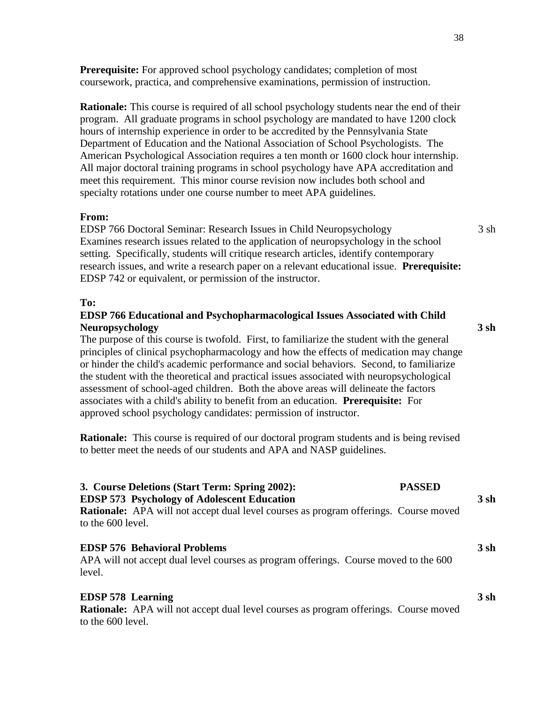**Prerequisite:** For approved school psychology candidates; completion of most coursework, practica, and comprehensive examinations, permission of instruction.

**Rationale:** This course is required of all school psychology students near the end of their program. All graduate programs in school psychology are mandated to have 1200 clock hours of internship experience in order to be accredited by the Pennsylvania State Department of Education and the National Association of School Psychologists. The American Psychological Association requires a ten month or 1600 clock hour internship. All major doctoral training programs in school psychology have APA accreditation and meet this requirement. This minor course revision now includes both school and specialty rotations under one course number to meet APA guidelines.

#### **From:**

EDSP 766 Doctoral Seminar: Research Issues in Child Neuropsychology 3 sh Examines research issues related to the application of neuropsychology in the school setting. Specifically, students will critique research articles, identify contemporary research issues, and write a research paper on a relevant educational issue. **Prerequisite:**  EDSP 742 or equivalent, or permission of the instructor.

#### **To:**

#### **EDSP 766 Educational and Psychopharmacological Issues Associated with Child Neuropsychology 3 sh**

The purpose of this course is twofold. First, to familiarize the student with the general principles of clinical psychopharmacology and how the effects of medication may change or hinder the child's academic performance and social behaviors. Second, to familiarize the student with the theoretical and practical issues associated with neuropsychological assessment of school-aged children. Both the above areas will delineate the factors associates with a child's ability to benefit from an education. **Prerequisite:** For approved school psychology candidates: permission of instructor.

**Rationale:** This course is required of our doctoral program students and is being revised to better meet the needs of our students and APA and NASP guidelines.

| 3. Course Deletions (Start Term: Spring 2002):<br><b>EDSP 573 Psychology of Adolescent Education</b>                                         | <b>PASSED</b><br>3sh |  |
|----------------------------------------------------------------------------------------------------------------------------------------------|----------------------|--|
| <b>Rationale:</b> APA will not accept dual level courses as program offerings. Course moved<br>to the 600 level.                             |                      |  |
| <b>EDSP 576 Behavioral Problems</b><br>APA will not accept dual level courses as program offerings. Course moved to the 600<br>level.        | 3sh                  |  |
| <b>EDSP 578 Learning</b><br><b>Rationale:</b> APA will not accept dual level courses as program offerings. Course moved<br>to the 600 level. | 3sh                  |  |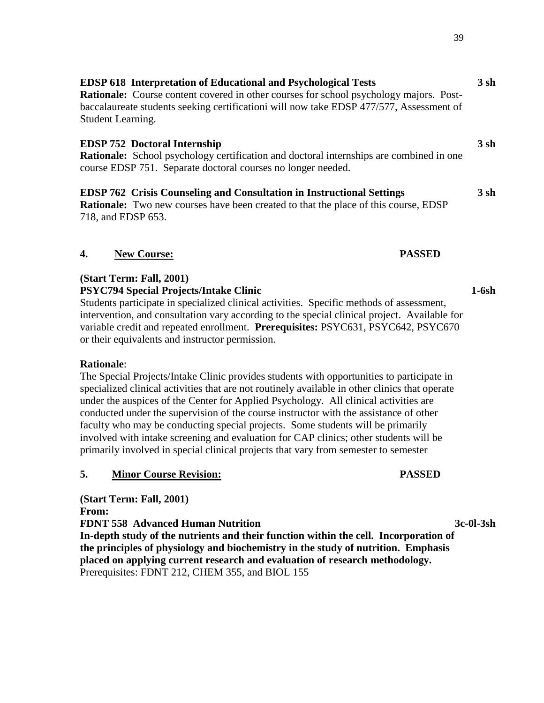**EDSP 752 Doctoral Internship 3 sh**

**EDSP 762 Crisis Counseling and Consultation in Instructional Settings 3 sh Rationale:** Two new courses have been created to that the place of this course, EDSP 718, and EDSP 653.

course EDSP 751. Separate doctoral courses no longer needed.

**EDSP 618 Interpretation of Educational and Psychological Tests 3 sh**

**Rationale:** Course content covered in other courses for school psychology majors. Postbaccalaureate students seeking certificationi will now take EDSP 477/577, Assessment of

**Rationale:** School psychology certification and doctoral internships are combined in one

# **4. New Course: PASSED**

Student Learning.

# **(Start Term: Fall, 2001)**

**PSYC794 Special Projects/Intake Clinic 1-6sh**

Students participate in specialized clinical activities. Specific methods of assessment, intervention, and consultation vary according to the special clinical project. Available for variable credit and repeated enrollment. **Prerequisites:** PSYC631, PSYC642, PSYC670 or their equivalents and instructor permission.

# **Rationale**:

The Special Projects/Intake Clinic provides students with opportunities to participate in specialized clinical activities that are not routinely available in other clinics that operate under the auspices of the Center for Applied Psychology. All clinical activities are conducted under the supervision of the course instructor with the assistance of other faculty who may be conducting special projects. Some students will be primarily involved with intake screening and evaluation for CAP clinics; other students will be primarily involved in special clinical projects that vary from semester to semester

# **5. Minor Course Revision: PASSED**

**(Start Term: Fall, 2001) From: FDNT 558 Advanced Human Nutrition 3c-0l-3sh In-depth study of the nutrients and their function within the cell. Incorporation of the principles of physiology and biochemistry in the study of nutrition. Emphasis placed on applying current research and evaluation of research methodology.** Prerequisites: FDNT 212, CHEM 355, and BIOL 155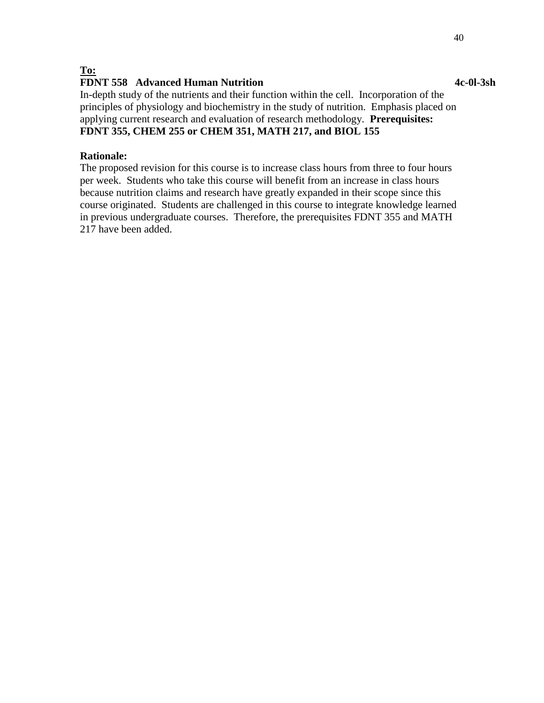#### **To:**

## **FDNT 558 Advanced Human Nutrition 4c-0l-3sh**

In-depth study of the nutrients and their function within the cell. Incorporation of the principles of physiology and biochemistry in the study of nutrition. Emphasis placed on applying current research and evaluation of research methodology. **Prerequisites: FDNT 355, CHEM 255 or CHEM 351, MATH 217, and BIOL 155**

#### **Rationale:**

The proposed revision for this course is to increase class hours from three to four hours per week. Students who take this course will benefit from an increase in class hours because nutrition claims and research have greatly expanded in their scope since this course originated. Students are challenged in this course to integrate knowledge learned in previous undergraduate courses. Therefore, the prerequisites FDNT 355 and MATH 217 have been added.